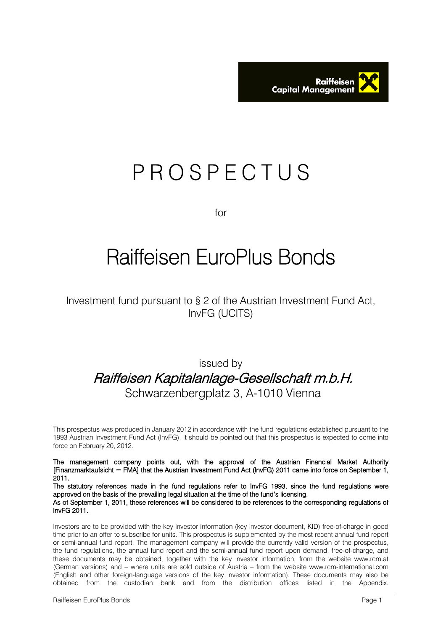

# P R O S P E C T U S

for

# Raiffeisen EuroPlus Bonds

Investment fund pursuant to § 2 of the Austrian Investment Fund Act, InvFG (UCITS)

# issued by Raiffeisen Kapitalanlage-Gesellschaft m.b.H. Schwarzenbergplatz 3, A-1010 Vienna

This prospectus was produced in January 2012 in accordance with the fund regulations established pursuant to the 1993 Austrian Investment Fund Act (InvFG). It should be pointed out that this prospectus is expected to come into force on February 20, 2012.

The management company points out, with the approval of the Austrian Financial Market Authority [Finanzmarktaufsicht = FMA] that the Austrian Investment Fund Act (InvFG) 2011 came into force on September 1, 2011.

The statutory references made in the fund regulations refer to InvFG 1993, since the fund regulations were approved on the basis of the prevailing legal situation at the time of the fund's licensing. As of September 1, 2011, these references will be considered to be references to the corresponding regulations of InvFG 2011.

Investors are to be provided with the key investor information (key investor document, KID) free-of-charge in good time prior to an offer to subscribe for units. This prospectus is supplemented by the most recent annual fund report or semi-annual fund report. The management company will provide the currently valid version of the prospectus, the fund regulations, the annual fund report and the semi-annual fund report upon demand, free-of-charge, and these documents may be obtained, together with the key investor information, from the website www.rcm.at (German versions) and – where units are sold outside of Austria – from the website www.rcm-international.com (English and other foreign-language versions of the key investor information). These documents may also be obtained from the custodian bank and from the distribution offices listed in the Appendix.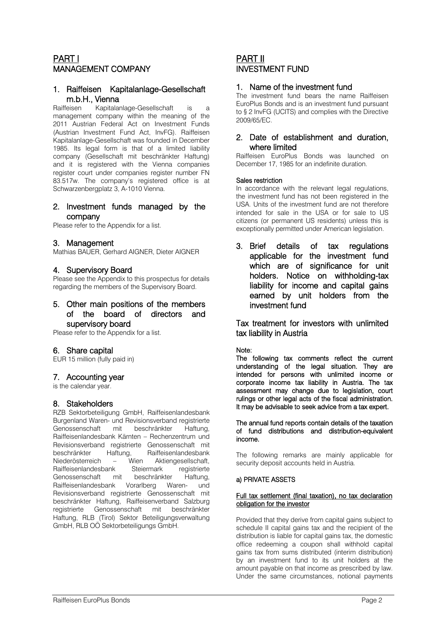# PART I MANAGEMENT COMPANY

# 1. Raiffeisen Kapitalanlage-Gesellschaft m.b.H., Vienna

Raiffeisen Kapitalanlage-Gesellschaft is a management company within the meaning of the 2011 Austrian Federal Act on Investment Funds (Austrian Investment Fund Act, InvFG). Raiffeisen Kapitalanlage-Gesellschaft was founded in December 1985. Its legal form is that of a limited liability company (Gesellschaft mit beschränkter Haftung) and it is registered with the Vienna companies register court under companies register number FN 83.517w. The company's registered office is at Schwarzenbergplatz 3, A-1010 Vienna.

# 2. Investment funds managed by the company

Please refer to the Appendix for a list.

# 3. Management

Mathias BAUER, Gerhard AIGNER, Dieter AIGNER

# 4. Supervisory Board

Please see the Appendix to this prospectus for details regarding the members of the Supervisory Board.

# 5. Other main positions of the members of the board of directors and supervisory board

Please refer to the Appendix for a list.

# 6. Share capital

EUR 15 million (fully paid in)

# 7. Accounting year

is the calendar year.

# 8. Stakeholders

RZB Sektorbeteiligung GmbH, Raiffeisenlandesbank Burgenland Waren- und Revisionsverband registrierte Genossenschaft mit beschränkter Haftung, Raiffeisenlandesbank Kärnten – Rechenzentrum und Revisionsverband registrierte Genossenschaft mit beschränkter Haftung, Raiffeisenlandesbank Niederösterreich – Wien Aktiengesellschaft, Raiffeisenlandesbank Steiermark registrierte Genossenschaft mit beschränkter Haftung, Raiffeisenlandesbank Vorarlberg Waren- und Revisionsverband registrierte Genossenschaft mit beschränkter Haftung, Raiffeisenverband Salzburg registrierte Genossenschaft mit beschränkter Haftung, RLB (Tirol) Sektor Beteiligungsverwaltung GmbH, RLB OÖ Sektorbeteiligungs GmbH.

# PART II INVESTMENT FUND

### 1. Name of the investment fund

The investment fund bears the name Raiffeisen EuroPlus Bonds and is an investment fund pursuant to § 2 InvFG (UCITS) and complies with the Directive 2009/65/EC.

# 2. Date of establishment and duration, where limited

Raiffeisen EuroPlus Bonds was launched on December 17, 1985 for an indefinite duration.

#### Sales restriction

In accordance with the relevant legal regulations, the investment fund has not been registered in the USA. Units of the investment fund are not therefore intended for sale in the USA or for sale to US citizens (or permanent US residents) unless this is exceptionally permitted under American legislation.

3. Brief details of tax regulations applicable for the investment fund which are of significance for unit holders. Notice on withholding-tax liability for income and capital gains earned by unit holders from the investment fund

Tax treatment for investors with unlimited tax liability in Austria

#### Note:

The following tax comments reflect the current understanding of the legal situation. They are intended for persons with unlimited income or corporate income tax liability in Austria. The tax assessment may change due to legislation, court rulings or other legal acts of the fiscal administration. It may be advisable to seek advice from a tax expert.

#### The annual fund reports contain details of the taxation of fund distributions and distribution-equivalent income.

The following remarks are mainly applicable for security deposit accounts held in Austria.

#### a) PRIVATE ASSETS

#### Full tax settlement (final taxation), no tax declaration obligation for the investor

Provided that they derive from capital gains subject to schedule II capital gains tax and the recipient of the distribution is liable for capital gains tax, the domestic office redeeming a coupon shall withhold capital gains tax from sums distributed (interim distribution) by an investment fund to its unit holders at the amount payable on that income as prescribed by law. Under the same circumstances, notional payments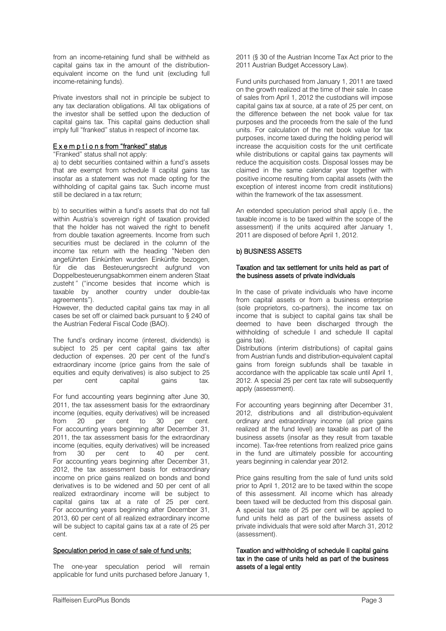from an income-retaining fund shall be withheld as capital gains tax in the amount of the distributionequivalent income on the fund unit (excluding full income-retaining funds).

Private investors shall not in principle be subject to any tax declaration obligations. All tax obligations of the investor shall be settled upon the deduction of capital gains tax. This capital gains deduction shall imply full "franked" status in respect of income tax.

#### E x e m p t i o n s from "franked" status

"Franked" status shall not apply:

a) to debt securities contained within a fund's assets that are exempt from schedule II capital gains tax insofar as a statement was not made opting for the withholding of capital gains tax. Such income must still be declared in a tax return;

b) to securities within a fund's assets that do not fall within Austria's sovereign right of taxation provided that the holder has not waived the right to benefit from double taxation agreements. Income from such securities must be declared in the column of the income tax return with the heading "Neben den angeführten Einkünften wurden Einkünfte bezogen, für die das Besteuerungsrecht aufgrund von Doppelbesteuerungsabkommen einem anderen Staat zusteht" ("income besides that income which is taxable by another country under double-tax agreements").

However, the deducted capital gains tax may in all cases be set off or claimed back pursuant to § 240 of the Austrian Federal Fiscal Code (BAO).

The fund's ordinary income (interest, dividends) is subject to 25 per cent capital gains tax after deduction of expenses. 20 per cent of the fund's extraordinary income (price gains from the sale of equities and equity derivatives) is also subject to 25 per cent capital gains tax.

For fund accounting years beginning after June 30, 2011, the tax assessment basis for the extraordinary income (equities, equity derivatives) will be increased from 20 per cent to 30 per cent. For accounting years beginning after December 31, 2011, the tax assessment basis for the extraordinary income (equities, equity derivatives) will be increased from 30 per cent to 40 per cent. For accounting years beginning after December 31, 2012, the tax assessment basis for extraordinary income on price gains realized on bonds and bond derivatives is to be widened and 50 per cent of all realized extraordinary income will be subject to capital gains tax at a rate of 25 per cent. For accounting years beginning after December 31, 2013, 60 per cent of all realized extraordinary income will be subject to capital gains tax at a rate of 25 per cent.

#### Speculation period in case of sale of fund units:

The one-year speculation period will remain applicable for fund units purchased before January 1, 2011 (§ 30 of the Austrian Income Tax Act prior to the 2011 Austrian Budget Accessory Law).

Fund units purchased from January 1, 2011 are taxed on the growth realized at the time of their sale. In case of sales from April 1, 2012 the custodians will impose capital gains tax at source, at a rate of 25 per cent, on the difference between the net book value for tax purposes and the proceeds from the sale of the fund units. For calculation of the net book value for tax purposes, income taxed during the holding period will increase the acquisition costs for the unit certificate while distributions or capital gains tax payments will reduce the acquisition costs. Disposal losses may be claimed in the same calendar year together with positive income resulting from capital assets (with the exception of interest income from credit institutions) within the framework of the tax assessment.

An extended speculation period shall apply (i.e., the taxable income is to be taxed within the scope of the assessment) if the units acquired after January 1, 2011 are disposed of before April 1, 2012.

#### b) BUSINESS ASSETS

#### Taxation and tax settlement for units held as part of the business assets of private individuals

In the case of private individuals who have income from capital assets or from a business enterprise (sole proprietors, co-partners), the income tax on income that is subject to capital gains tax shall be deemed to have been discharged through the withholding of schedule I and schedule II capital gains tax).

Distributions (interim distributions) of capital gains from Austrian funds and distribution-equivalent capital gains from foreign subfunds shall be taxable in accordance with the applicable tax scale until April 1, 2012. A special 25 per cent tax rate will subsequently apply (assessment).

For accounting years beginning after December 31, 2012, distributions and all distribution-equivalent ordinary and extraordinary income (all price gains realized at the fund level) are taxable as part of the business assets (insofar as they result from taxable income). Tax-free retentions from realized price gains in the fund are ultimately possible for accounting years beginning in calendar year 2012.

Price gains resulting from the sale of fund units sold prior to April 1, 2012 are to be taxed within the scope of this assessment. All income which has already been taxed will be deducted from this disposal gain. A special tax rate of 25 per cent will be applied to fund units held as part of the business assets of private individuals that were sold after March 31, 2012 (assessment).

Taxation and withholding of schedule II capital gains tax in the case of units held as part of the business assets of a legal entity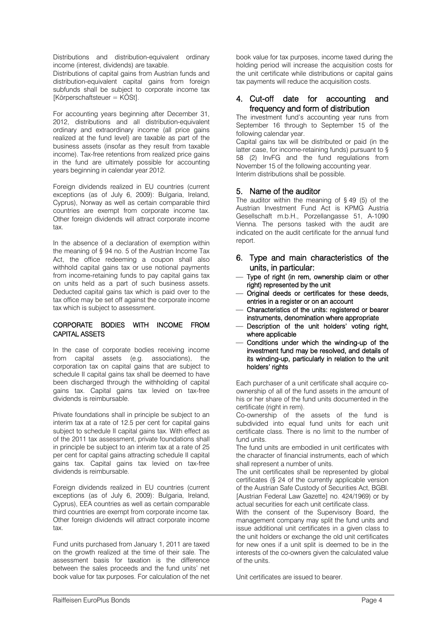Distributions and distribution-equivalent ordinary income (interest, dividends) are taxable.

Distributions of capital gains from Austrian funds and distribution-equivalent capital gains from foreign subfunds shall be subject to corporate income tax [Körperschaftsteuer = KÖSt].

For accounting years beginning after December 31, 2012, distributions and all distribution-equivalent ordinary and extraordinary income (all price gains realized at the fund level) are taxable as part of the business assets (insofar as they result from taxable income). Tax-free retentions from realized price gains in the fund are ultimately possible for accounting years beginning in calendar year 2012.

Foreign dividends realized in EU countries (current exceptions (as of July 6, 2009): Bulgaria, Ireland, Cyprus), Norway as well as certain comparable third countries are exempt from corporate income tax. Other foreign dividends will attract corporate income tax.

In the absence of a declaration of exemption within the meaning of § 94 no. 5 of the Austrian Income Tax Act, the office redeeming a coupon shall also withhold capital gains tax or use notional payments from income-retaining funds to pay capital gains tax on units held as a part of such business assets. Deducted capital gains tax which is paid over to the tax office may be set off against the corporate income tax which is subject to assessment.

#### CORPORATE BODIES WITH INCOME FROM CAPITAL ASSETS

In the case of corporate bodies receiving income from capital assets (e.g. associations), the corporation tax on capital gains that are subject to schedule II capital gains tax shall be deemed to have been discharged through the withholding of capital gains tax. Capital gains tax levied on tax-free dividends is reimbursable.

Private foundations shall in principle be subject to an interim tax at a rate of 12.5 per cent for capital gains subject to schedule II capital gains tax. With effect as of the 2011 tax assessment, private foundations shall in principle be subject to an interim tax at a rate of 25 per cent for capital gains attracting schedule II capital gains tax. Capital gains tax levied on tax-free dividends is reimbursable.

Foreign dividends realized in EU countries (current exceptions (as of July 6, 2009): Bulgaria, Ireland, Cyprus), EEA countries as well as certain comparable third countries are exempt from corporate income tax. Other foreign dividends will attract corporate income tax.

Fund units purchased from January 1, 2011 are taxed on the growth realized at the time of their sale. The assessment basis for taxation is the difference between the sales proceeds and the fund units' net book value for tax purposes. For calculation of the net

book value for tax purposes, income taxed during the holding period will increase the acquisition costs for the unit certificate while distributions or capital gains tax payments will reduce the acquisition costs.

# 4. Cut-off date for accounting and frequency and form of distribution

The investment fund's accounting year runs from September 16 through to September 15 of the following calendar year.

Capital gains tax will be distributed or paid (in the latter case, for income-retaining funds) pursuant to § 58 (2) InvFG and the fund regulations from November 15 of the following accounting year. Interim distributions shall be possible.

# 5. Name of the auditor

The auditor within the meaning of § 49 (5) of the Austrian Investment Fund Act is KPMG Austria Gesellschaft m.b.H., Porzellangasse 51, A-1090 Vienna. The persons tasked with the audit are indicated on the audit certificate for the annual fund report.

- 6. Type and main characteristics of the units, in particular:
- Type of right (in rem, ownership claim or other right) represented by the unit
- Original deeds or certificates for these deeds, entries in a register or on an account
- Characteristics of the units: registered or bearer instruments, denomination where appropriate
- Description of the unit holders' voting right, where applicable
- Conditions under which the winding-up of the investment fund may be resolved, and details of its winding-up, particularly in relation to the unit holders' rights

Each purchaser of a unit certificate shall acquire coownership of all of the fund assets in the amount of his or her share of the fund units documented in the certificate (right in rem).

Co-ownership of the assets of the fund is subdivided into equal fund units for each unit certificate class. There is no limit to the number of fund units.

The fund units are embodied in unit certificates with the character of financial instruments, each of which shall represent a number of units.

The unit certificates shall be represented by global certificates (§ 24 of the currently applicable version of the Austrian Safe Custody of Securities Act, BGBl. [Austrian Federal Law Gazette] no. 424/1969) or by actual securities for each unit certificate class.

With the consent of the Supervisory Board, the management company may split the fund units and issue additional unit certificates in a given class to the unit holders or exchange the old unit certificates for new ones if a unit split is deemed to be in the interests of the co-owners given the calculated value of the units.

Unit certificates are issued to bearer.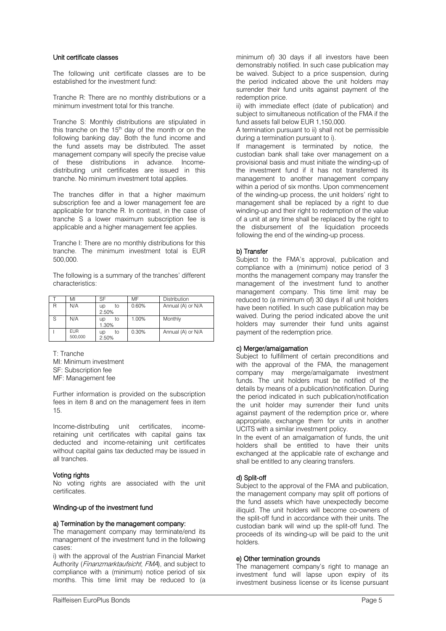#### Unit certificate classes

The following unit certificate classes are to be established for the investment fund:

Tranche R: There are no monthly distributions or a minimum investment total for this tranche.

Tranche S: Monthly distributions are stipulated in this tranche on the  $15<sup>th</sup>$  day of the month or on the following banking day. Both the fund income and the fund assets may be distributed. The asset management company will specify the precise value of these distributions in advance. Incomedistributing unit certificates are issued in this tranche. No minimum investment total applies.

The tranches differ in that a higher maximum subscription fee and a lower management fee are applicable for tranche R. In contrast, in the case of tranche S a lower maximum subscription fee is applicable and a higher management fee applies.

Tranche I: There are no monthly distributions for this tranche. The minimum investment total is EUR 500,000.

The following is a summary of the tranches' different characteristics:

|                | MI                    | SF                | MF    | <b>Distribution</b> |
|----------------|-----------------------|-------------------|-------|---------------------|
| $\overline{R}$ | N/A                   | to<br>up<br>2.50% | 0.60% | Annual (A) or N/A   |
| - S            | N/A                   | to<br>up<br>1.30% | 1.00% | Monthly             |
|                | <b>FUR</b><br>500.000 | to<br>up<br>2.50% | 0.30% | Annual (A) or N/A   |

T: Tranche MI: Minimum investment SF: Subscription fee MF: Management fee

Further information is provided on the subscription fees in item 8 and on the management fees in item 15.

Income-distributing unit certificates, incomeretaining unit certificates with capital gains tax deducted and income-retaining unit certificates without capital gains tax deducted may be issued in all tranches.

#### Voting rights

No voting rights are associated with the unit certificates.

#### Winding-up of the investment fund

#### a) Termination by the management company:

The management company may terminate/end its management of the investment fund in the following cases:

i) with the approval of the Austrian Financial Market Authority (Finanzmarktaufsicht, FMA), and subject to compliance with a (minimum) notice period of six months. This time limit may be reduced to (a minimum of) 30 days if all investors have been demonstrably notified. In such case publication may be waived. Subject to a price suspension, during the period indicated above the unit holders may surrender their fund units against payment of the redemption price.

ii) with immediate effect (date of publication) and subject to simultaneous notification of the FMA if the fund assets fall below EUR 1,150,000.

A termination pursuant to ii) shall not be permissible during a termination pursuant to i).

If management is terminated by notice, the custodian bank shall take over management on a provisional basis and must initiate the winding-up of the investment fund if it has not transferred its management to another management company within a period of six months. Upon commencement of the winding-up process, the unit holders' right to management shall be replaced by a right to due winding-up and their right to redemption of the value of a unit at any time shall be replaced by the right to the disbursement of the liquidation proceeds following the end of the winding-up process.

#### b) Transfer

Subject to the FMA's approval, publication and compliance with a (minimum) notice period of 3 months the management company may transfer the management of the investment fund to another management company. This time limit may be reduced to (a minimum of) 30 days if all unit holders have been notified. In such case publication may be waived. During the period indicated above the unit holders may surrender their fund units against payment of the redemption price.

#### c) Merger/amalgamation

Subject to fulfillment of certain preconditions and with the approval of the FMA, the management company may merge/amalgamate investment funds. The unit holders must be notified of the details by means of a publication/notification. During the period indicated in such publication/notification the unit holder may surrender their fund units against payment of the redemption price or, where appropriate, exchange them for units in another UCITS with a similar investment policy.

In the event of an amalgamation of funds, the unit holders shall be entitled to have their units exchanged at the applicable rate of exchange and shall be entitled to any clearing transfers.

#### d) Split-off

Subject to the approval of the FMA and publication, the management company may split off portions of the fund assets which have unexpectedly become illiquid. The unit holders will become co-owners of the split-off fund in accordance with their units. The custodian bank will wind up the split-off fund. The proceeds of its winding-up will be paid to the unit holders.

#### e) Other termination grounds

The management company's right to manage an investment fund will lapse upon expiry of its investment business license or its license pursuant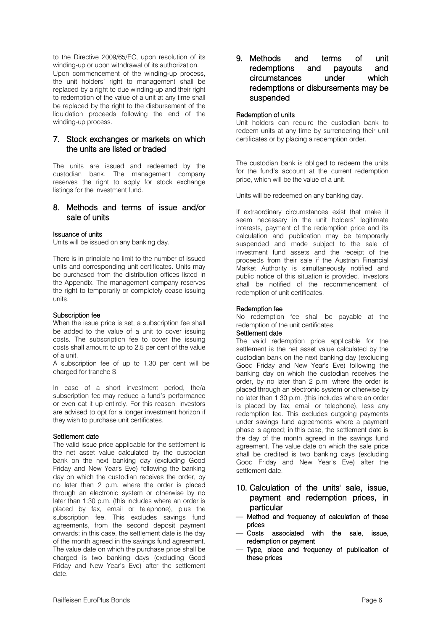to the Directive 2009/65/EC, upon resolution of its winding-up or upon withdrawal of its authorization. Upon commencement of the winding-up process, the unit holders' right to management shall be replaced by a right to due winding-up and their right to redemption of the value of a unit at any time shall be replaced by the right to the disbursement of the liquidation proceeds following the end of the winding-up process.

# 7. Stock exchanges or markets on which the units are listed or traded

The units are issued and redeemed by the custodian bank. The management company reserves the right to apply for stock exchange listings for the investment fund.

# 8. Methods and terms of issue and/or sale of units

#### Issuance of units

Units will be issued on any banking day.

There is in principle no limit to the number of issued units and corresponding unit certificates. Units may be purchased from the distribution offices listed in the Appendix. The management company reserves the right to temporarily or completely cease issuing units.

#### Subscription fee

When the issue price is set, a subscription fee shall be added to the value of a unit to cover issuing costs. The subscription fee to cover the issuing costs shall amount to up to 2.5 per cent of the value of a unit.

A subscription fee of up to 1.30 per cent will be charged for tranche S.

In case of a short investment period, the/a subscription fee may reduce a fund's performance or even eat it up entirely. For this reason, investors are advised to opt for a longer investment horizon if they wish to purchase unit certificates.

#### Settlement date

The valid issue price applicable for the settlement is the net asset value calculated by the custodian bank on the next banking day (excluding Good Friday and New Year's Eve) following the banking day on which the custodian receives the order, by no later than 2 p.m. where the order is placed through an electronic system or otherwise by no later than 1:30 p.m. (this includes where an order is placed by fax, email or telephone), plus the subscription fee. This excludes savings fund agreements, from the second deposit payment onwards; in this case, the settlement date is the day of the month agreed in the savings fund agreement. The value date on which the purchase price shall be charged is two banking days (excluding Good Friday and New Year's Eve) after the settlement date.

9. Methods and terms of unit redemptions and payouts and circumstances under which redemptions or disbursements may be suspended

#### Redemption of units

Unit holders can require the custodian bank to redeem units at any time by surrendering their unit certificates or by placing a redemption order.

The custodian bank is obliged to redeem the units for the fund's account at the current redemption price, which will be the value of a unit.

Units will be redeemed on any banking day.

If extraordinary circumstances exist that make it seem necessary in the unit holders' legitimate interests, payment of the redemption price and its calculation and publication may be temporarily suspended and made subject to the sale of investment fund assets and the receipt of the proceeds from their sale if the Austrian Financial Market Authority is simultaneously notified and public notice of this situation is provided. Investors shall be notified of the recommencement of redemption of unit certificates.

#### Redemption fee

No redemption fee shall be payable at the redemption of the unit certificates.

# Settlement date

The valid redemption price applicable for the settlement is the net asset value calculated by the custodian bank on the next banking day (excluding Good Friday and New Year's Eve) following the banking day on which the custodian receives the order, by no later than 2 p.m. where the order is placed through an electronic system or otherwise by no later than 1:30 p.m. (this includes where an order is placed by fax, email or telephone), less any redemption fee. This excludes outgoing payments under savings fund agreements where a payment phase is agreed; in this case, the settlement date is the day of the month agreed in the savings fund agreement. The value date on which the sale price shall be credited is two banking days (excluding Good Friday and New Year's Eve) after the settlement date.

# 10. Calculation of the units' sale, issue, payment and redemption prices, in particular

- Method and frequency of calculation of these prices
- Costs associated with the sale, issue, redemption or payment
- Type, place and frequency of publication of these prices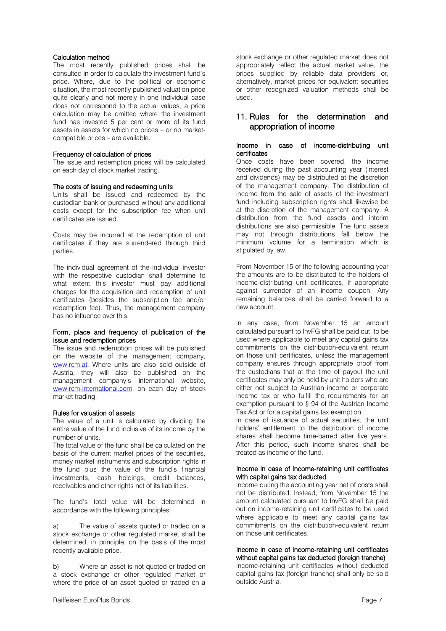#### Calculation method

The most recently published prices shall be consulted in order to calculate the investment fund's price. Where, due to the political or economic situation, the most recently published valuation price quite clearly and not merely in one individual case does not correspond to the actual values, a price calculation may be omitted where the investment fund has invested 5 per cent or more of its fund assets in assets for which no prices – or no marketcompatible prices – are available.

#### Frequency of calculation of prices

The issue and redemption prices will be calculated on each day of stock market trading.

#### The costs of issuing and redeeming units

Units shall be issued and redeemed by the custodian bank or purchased without any additional costs except for the subscription fee when unit certificates are issued.

Costs may be incurred at the redemption of unit certificates if they are surrendered through third parties.

The individual agreement of the individual investor with the respective custodian shall determine to what extent this investor must pay additional charges for the acquisition and redemption of unit certificates (besides the subscription fee and/or redemption fee). Thus, the management company has no influence over this.

#### Form, place and frequency of publication of the issue and redemption prices

The issue and redemption prices will be published on the website of the management company, [www.rcm.at.](http://www.rcm.at/) Where units are also sold outside of Austria, they will also be published on the management company's international website, [www.rcm-international.com,](http://www.rcm-international.com/) on each day of stock market trading.

#### Rules for valuation of assets

The value of a unit is calculated by dividing the entire value of the fund inclusive of its income by the number of units.

The total value of the fund shall be calculated on the basis of the current market prices of the securities, money market instruments and subscription rights in the fund plus the value of the fund's financial investments, cash holdings, credit balances, receivables and other rights net of its liabilities.

The fund's total value will be determined in accordance with the following principles:

a) The value of assets quoted or traded on a stock exchange or other regulated market shall be determined, in principle, on the basis of the most recently available price.

b) Where an asset is not quoted or traded on a stock exchange or other regulated market or where the price of an asset quoted or traded on a stock exchange or other regulated market does not appropriately reflect the actual market value, the prices supplied by reliable data providers or, alternatively, market prices for equivalent securities or other recognized valuation methods shall be used.

# 11. Rules for the determination and appropriation of income

#### Income in case of income-distributing unit certificates

Once costs have been covered, the income received during the past accounting year (interest and dividends) may be distributed at the discretion of the management company. The distribution of income from the sale of assets of the investment fund including subscription rights shall likewise be at the discretion of the management company. A distribution from the fund assets and interim distributions are also permissible. The fund assets may not through distributions fall below the minimum volume for a termination which is stipulated by law.

From November 15 of the following accounting year the amounts are to be distributed to the holders of income-distributing unit certificates, if appropriate against surrender of an income coupon. Any remaining balances shall be carried forward to a new account.

In any case, from November 15 an amount calculated pursuant to InvFG shall be paid out, to be used where applicable to meet any capital gains tax commitments on the distribution-equivalent return on those unit certificates, unless the management company ensures through appropriate proof from the custodians that at the time of payout the unit certificates may only be held by unit holders who are either not subject to Austrian income or corporate income tax or who fulfill the requirements for an exemption pursuant to § 94 of the Austrian Income Tax Act or for a capital gains tax exemption.

In case of issuance of actual securities, the unit holders' entitlement to the distribution of income shares shall become time-barred after five years. After this period, such income shares shall be treated as income of the fund.

#### Income in case of income-retaining unit certificates with capital gains tax deducted

Income during the accounting year net of costs shall not be distributed. Instead, from November 15 the amount calculated pursuant to InvFG shall be paid out on income-retaining unit certificates to be used where applicable to meet any capital gains tax commitments on the distribution-equivalent return on those unit certificates.

#### Income in case of income-retaining unit certificates without capital gains tax deducted (foreign tranche)

Income-retaining unit certificates without deducted capital gains tax (foreign tranche) shall only be sold outside Austria.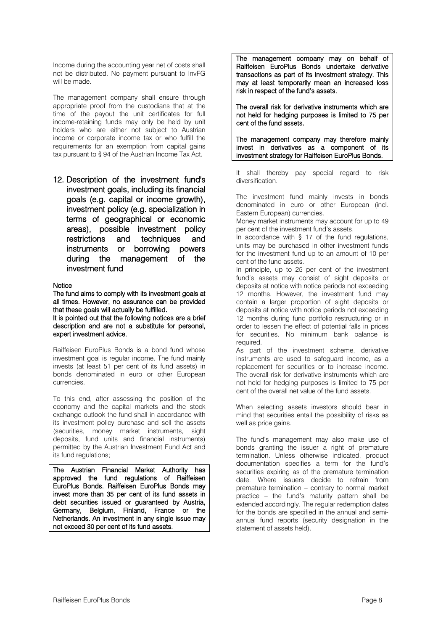Income during the accounting year net of costs shall not be distributed. No payment pursuant to InvFG will be made.

The management company shall ensure through appropriate proof from the custodians that at the time of the payout the unit certificates for full income-retaining funds may only be held by unit holders who are either not subject to Austrian income or corporate income tax or who fulfill the requirements for an exemption from capital gains tax pursuant to § 94 of the Austrian Income Tax Act.

12. Description of the investment fund's investment goals, including its financial goals (e.g. capital or income growth), investment policy (e.g. specialization in terms of geographical or economic areas), possible investment policy restrictions and techniques and instruments or borrowing powers during the management of the investment fund

#### **Notice**

The fund aims to comply with its investment goals at all times. However, no assurance can be provided that these goals will actually be fulfilled.

It is pointed out that the following notices are a brief description and are not a substitute for personal, expert investment advice.

Raiffeisen EuroPlus Bonds is a bond fund whose investment goal is regular income. The fund mainly invests (at least 51 per cent of its fund assets) in bonds denominated in euro or other European currencies.

To this end, after assessing the position of the economy and the capital markets and the stock exchange outlook the fund shall in accordance with its investment policy purchase and sell the assets (securities, money market instruments, sight deposits, fund units and financial instruments) permitted by the Austrian Investment Fund Act and its fund regulations;

The Austrian Financial Market Authority has approved the fund regulations of Raiffeisen EuroPlus Bonds. Raiffeisen EuroPlus Bonds may invest more than 35 per cent of its fund assets in debt securities issued or guaranteed by Austria, Germany, Belgium, Finland, France or the Netherlands. An investment in any single issue may not exceed 30 per cent of its fund assets.

The management company may on behalf of Raiffeisen EuroPlus Bonds undertake derivative transactions as part of its investment strategy. This may at least temporarily mean an increased loss risk in respect of the fund's assets.

The overall risk for derivative instruments which are not held for hedging purposes is limited to 75 per cent of the fund assets.

The management company may therefore mainly invest in derivatives as a component of its investment strategy for Raiffeisen EuroPlus Bonds.

It shall thereby pay special regard to risk diversification.

The investment fund mainly invests in bonds denominated in euro or other European (incl. Eastern European) currencies.

Money market instruments may account for up to 49 per cent of the investment fund's assets.

In accordance with  $§$  17 of the fund regulations, units may be purchased in other investment funds for the investment fund up to an amount of 10 per cent of the fund assets.

In principle, up to 25 per cent of the investment fund's assets may consist of sight deposits or deposits at notice with notice periods not exceeding 12 months. However, the investment fund may contain a larger proportion of sight deposits or deposits at notice with notice periods not exceeding 12 months during fund portfolio restructuring or in order to lessen the effect of potential falls in prices for securities. No minimum bank balance is required.

As part of the investment scheme, derivative instruments are used to safeguard income, as a replacement for securities or to increase income. The overall risk for derivative instruments which are not held for hedging purposes is limited to 75 per cent of the overall net value of the fund assets.

When selecting assets investors should bear in mind that securities entail the possibility of risks as well as price gains.

The fund's management may also make use of bonds granting the issuer a right of premature termination. Unless otherwise indicated, product documentation specifies a term for the fund's securities expiring as of the premature termination date. Where issuers decide to refrain from premature termination – contrary to normal market practice – the fund's maturity pattern shall be extended accordingly. The regular redemption dates for the bonds are specified in the annual and semiannual fund reports (security designation in the statement of assets held).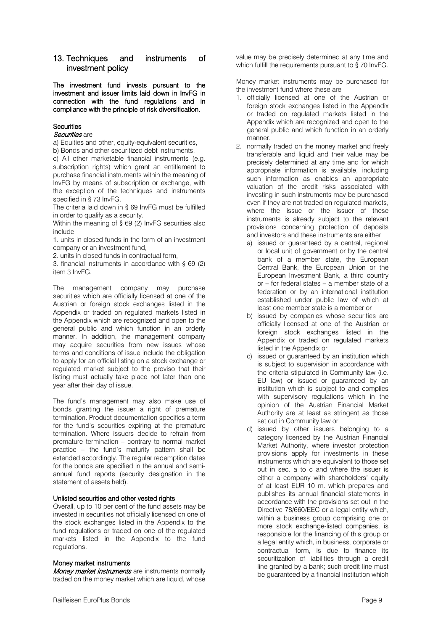# 13. Techniques and instruments of investment policy

The investment fund invests pursuant to the investment and issuer limits laid down in InvFG in connection with the fund regulations and in compliance with the principle of risk diversification.

#### **Securities**

#### Securities are

a) Equities and other, equity-equivalent securities,

b) Bonds and other securitized debt instruments, c) All other marketable financial instruments (e.g. subscription rights) which grant an entitlement to purchase financial instruments within the meaning of InvFG by means of subscription or exchange, with the exception of the techniques and instruments specified in § 73 InvFG.

The criteria laid down in § 69 InvFG must be fulfilled in order to qualify as a security.

Within the meaning of § 69 (2) InvFG securities also include

1. units in closed funds in the form of an investment company or an investment fund,

2. units in closed funds in contractual form,

3. financial instruments in accordance with § 69 (2) item 3 InvFG.

The management company may purchase securities which are officially licensed at one of the Austrian or foreign stock exchanges listed in the Appendix or traded on regulated markets listed in the Appendix which are recognized and open to the general public and which function in an orderly manner. In addition, the management company may acquire securities from new issues whose terms and conditions of issue include the obligation to apply for an official listing on a stock exchange or regulated market subject to the proviso that their listing must actually take place not later than one year after their day of issue.

The fund's management may also make use of bonds granting the issuer a right of premature termination. Product documentation specifies a term for the fund's securities expiring at the premature termination. Where issuers decide to refrain from premature termination – contrary to normal market practice – the fund's maturity pattern shall be extended accordingly. The regular redemption dates for the bonds are specified in the annual and semiannual fund reports (security designation in the statement of assets held).

#### Unlisted securities and other vested rights

Overall, up to 10 per cent of the fund assets may be invested in securities not officially licensed on one of the stock exchanges listed in the Appendix to the fund regulations or traded on one of the regulated markets listed in the Appendix to the fund regulations.

#### Money market instruments

Money market instruments are instruments normally traded on the money market which are liquid, whose value may be precisely determined at any time and which fulfill the requirements pursuant to §70 InvFG.

Money market instruments may be purchased for the investment fund where these are

- 1. officially licensed at one of the Austrian or foreign stock exchanges listed in the Appendix or traded on regulated markets listed in the Appendix which are recognized and open to the general public and which function in an orderly manner.
- 2. normally traded on the money market and freely transferable and liquid and their value may be precisely determined at any time and for which appropriate information is available, including such information as enables an appropriate valuation of the credit risks associated with investing in such instruments may be purchased even if they are not traded on regulated markets, where the issue or the issuer of these instruments is already subject to the relevant provisions concerning protection of deposits and investors and these instruments are either
	- a) issued or guaranteed by a central, regional or local unit of government or by the central bank of a member state, the European Central Bank, the European Union or the European Investment Bank, a third country or – for federal states – a member state of a federation or by an international institution established under public law of which at least one member state is a member or
	- b) issued by companies whose securities are officially licensed at one of the Austrian or foreign stock exchanges listed in the Appendix or traded on regulated markets listed in the Appendix or
	- c) issued or guaranteed by an institution which is subject to supervision in accordance with the criteria stipulated in Community law (i.e. EU law) or issued or guaranteed by an institution which is subject to and complies with supervisory regulations which in the opinion of the Austrian Financial Market Authority are at least as stringent as those set out in Community law or
	- d) issued by other issuers belonging to a category licensed by the Austrian Financial Market Authority, where investor protection provisions apply for investments in these instruments which are equivalent to those set out in sec. a to c and where the issuer is either a company with shareholders' equity of at least EUR 10 m. which prepares and publishes its annual financial statements in accordance with the provisions set out in the Directive 78/660/EEC or a legal entity which, within a business group comprising one or more stock exchange-listed companies, is responsible for the financing of this group or a legal entity which, in business, corporate or contractual form, is due to finance its securitization of liabilities through a credit line granted by a bank; such credit line must be guaranteed by a financial institution which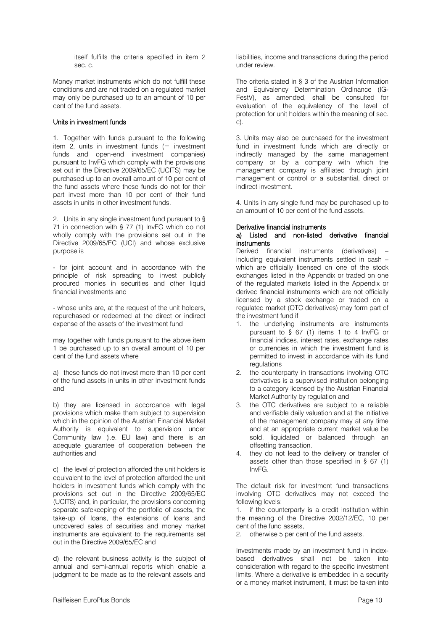itself fulfills the criteria specified in item 2 sec. c.

Money market instruments which do not fulfill these conditions and are not traded on a regulated market may only be purchased up to an amount of 10 per cent of the fund assets.

#### Units in investment funds

1. Together with funds pursuant to the following item  $2$ , units in investment funds (= investment funds and open-end investment companies) pursuant to InvFG which comply with the provisions set out in the Directive 2009/65/EC (UCITS) may be purchased up to an overall amount of 10 per cent of the fund assets where these funds do not for their part invest more than 10 per cent of their fund assets in units in other investment funds.

2. Units in any single investment fund pursuant to § 71 in connection with § 77 (1) InvFG which do not wholly comply with the provisions set out in the Directive 2009/65/EC (UCI) and whose exclusive purpose is

- for joint account and in accordance with the principle of risk spreading to invest publicly procured monies in securities and other liquid financial investments and

- whose units are, at the request of the unit holders, repurchased or redeemed at the direct or indirect expense of the assets of the investment fund

may together with funds pursuant to the above item 1 be purchased up to an overall amount of 10 per cent of the fund assets where

a) these funds do not invest more than 10 per cent of the fund assets in units in other investment funds and

b) they are licensed in accordance with legal provisions which make them subject to supervision which in the opinion of the Austrian Financial Market Authority is equivalent to supervision under Community law (i.e. EU law) and there is an adequate guarantee of cooperation between the authorities and

c) the level of protection afforded the unit holders is equivalent to the level of protection afforded the unit holders in investment funds which comply with the provisions set out in the Directive 2009/65/EC (UCITS) and, in particular, the provisions concerning separate safekeeping of the portfolio of assets, the take-up of loans, the extensions of loans and uncovered sales of securities and money market instruments are equivalent to the requirements set out in the Directive 2009/65/EC and

d) the relevant business activity is the subject of annual and semi-annual reports which enable a judgment to be made as to the relevant assets and liabilities, income and transactions during the period under review.

The criteria stated in § 3 of the Austrian Information and Equivalency Determination Ordinance (IG-FestV), as amended, shall be consulted for evaluation of the equivalency of the level of protection for unit holders within the meaning of sec. c).

3. Units may also be purchased for the investment fund in investment funds which are directly or indirectly managed by the same management company or by a company with which the management company is affiliated through joint management or control or a substantial, direct or indirect investment.

4. Units in any single fund may be purchased up to an amount of 10 per cent of the fund assets.

#### Derivative financial instruments

#### a) Listed and non-listed derivative financial instruments

Derived financial instruments (derivatives) – including equivalent instruments settled in cash – which are officially licensed on one of the stock exchanges listed in the Appendix or traded on one of the regulated markets listed in the Appendix or derived financial instruments which are not officially licensed by a stock exchange or traded on a regulated market (OTC derivatives) may form part of the investment fund if

- 1. the underlying instruments are instruments pursuant to § 67 (1) items 1 to 4 InvFG or financial indices, interest rates, exchange rates or currencies in which the investment fund is permitted to invest in accordance with its fund **regulations**
- 2. the counterparty in transactions involving OTC derivatives is a supervised institution belonging to a category licensed by the Austrian Financial Market Authority by regulation and
- 3. the OTC derivatives are subject to a reliable and verifiable daily valuation and at the initiative of the management company may at any time and at an appropriate current market value be sold, liquidated or balanced through an offsetting transaction.
- 4. they do not lead to the delivery or transfer of assets other than those specified in § 67 (1) InvFG.

The default risk for investment fund transactions involving OTC derivatives may not exceed the following levels:

1. if the counterparty is a credit institution within the meaning of the Directive 2002/12/EC, 10 per cent of the fund assets,

2. otherwise 5 per cent of the fund assets.

Investments made by an investment fund in indexbased derivatives shall not be taken into consideration with regard to the specific investment limits. Where a derivative is embedded in a security or a money market instrument, it must be taken into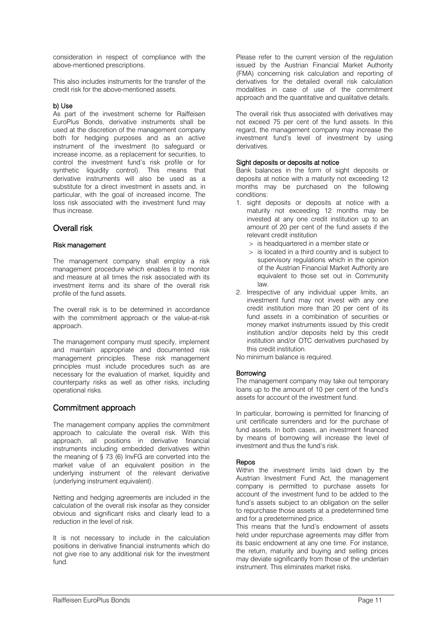consideration in respect of compliance with the above-mentioned prescriptions.

This also includes instruments for the transfer of the credit risk for the above-mentioned assets.

#### b) Use

As part of the investment scheme for Raiffeisen EuroPlus Bonds, derivative instruments shall be used at the discretion of the management company both for hedging purposes and as an active instrument of the investment (to safeguard or increase income, as a replacement for securities, to control the investment fund's risk profile or for synthetic liquidity control). This means that derivative instruments will also be used as a substitute for a direct investment in assets and, in particular, with the goal of increased income. The loss risk associated with the investment fund may thus increase.

# Overall risk

#### Risk management

The management company shall employ a risk management procedure which enables it to monitor and measure at all times the risk associated with its investment items and its share of the overall risk profile of the fund assets.

The overall risk is to be determined in accordance with the commitment approach or the value-at-risk approach.

The management company must specify, implement and maintain appropriate and documented risk management principles. These risk management principles must include procedures such as are necessary for the evaluation of market, liquidity and counterparty risks as well as other risks, including operational risks.

# Commitment approach

The management company applies the commitment approach to calculate the overall risk. With this approach, all positions in derivative financial instruments including embedded derivatives within the meaning of § 73 (6) InvFG are converted into the market value of an equivalent position in the underlying instrument of the relevant derivative (underlying instrument equivalent).

Netting and hedging agreements are included in the calculation of the overall risk insofar as they consider obvious and significant risks and clearly lead to a reduction in the level of risk.

It is not necessary to include in the calculation positions in derivative financial instruments which do not give rise to any additional risk for the investment fund.

Please refer to the current version of the regulation issued by the Austrian Financial Market Authority (FMA) concerning risk calculation and reporting of derivatives for the detailed overall risk calculation modalities in case of use of the commitment approach and the quantitative and qualitative details.

The overall risk thus associated with derivatives may not exceed 75 per cent of the fund assets. In this regard, the management company may increase the investment fund's level of investment by using derivatives.

#### Sight deposits or deposits at notice

Bank balances in the form of sight deposits or deposits at notice with a maturity not exceeding 12 months may be purchased on the following conditions:

- 1. sight deposits or deposits at notice with a maturity not exceeding 12 months may be invested at any one credit institution up to an amount of 20 per cent of the fund assets if the relevant credit institution
	- > is headquartered in a member state or
	- > is located in a third country and is subject to supervisory regulations which in the opinion of the Austrian Financial Market Authority are equivalent to those set out in Community law.
- 2. Irrespective of any individual upper limits, an investment fund may not invest with any one credit institution more than 20 per cent of its fund assets in a combination of securities or money market instruments issued by this credit institution and/or deposits held by this credit institution and/or OTC derivatives purchased by this credit institution.

No minimum balance is required.

#### **Borrowing**

The management company may take out temporary loans up to the amount of 10 per cent of the fund's assets for account of the investment fund.

In particular, borrowing is permitted for financing of unit certificate surrenders and for the purchase of fund assets. In both cases, an investment financed by means of borrowing will increase the level of investment and thus the fund's risk.

#### Repos

Within the investment limits laid down by the Austrian Investment Fund Act, the management company is permitted to purchase assets for account of the investment fund to be added to the fund's assets subject to an obligation on the seller to repurchase those assets at a predetermined time and for a predetermined price.

This means that the fund's endowment of assets held under repurchase agreements may differ from its basic endowment at any one time. For instance, the return, maturity and buying and selling prices may deviate significantly from those of the underlain instrument. This eliminates market risks.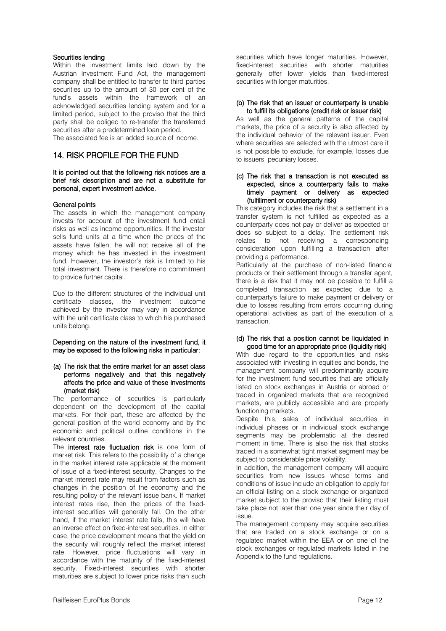#### Securities lending

Within the investment limits laid down by the Austrian Investment Fund Act, the management company shall be entitled to transfer to third parties securities up to the amount of 30 per cent of the fund's assets within the framework of an acknowledged securities lending system and for a limited period, subject to the proviso that the third party shall be obliged to re-transfer the transferred securities after a predetermined loan period. The associated fee is an added source of income.

# 14. RISK PROFILE FOR THE FUND

#### It is pointed out that the following risk notices are a brief risk description and are not a substitute for personal, expert investment advice.

#### General points

The assets in which the management company invests for account of the investment fund entail risks as well as income opportunities. If the investor sells fund units at a time when the prices of the assets have fallen, he will not receive all of the money which he has invested in the investment fund. However, the investor's risk is limited to his total investment. There is therefore no commitment to provide further capital.

Due to the different structures of the individual unit certificate classes, the investment outcome achieved by the investor may vary in accordance with the unit certificate class to which his purchased units belong.

Depending on the nature of the investment fund, it may be exposed to the following risks in particular:

#### (a) The risk that the entire market for an asset class performs negatively and that this negatively affects the price and value of these investments (market risk)

The performance of securities is particularly dependent on the development of the capital markets. For their part, these are affected by the general position of the world economy and by the economic and political outline conditions in the relevant countries.

The interest rate fluctuation risk is one form of market risk. This refers to the possibility of a change in the market interest rate applicable at the moment of issue of a fixed-interest security. Changes to the market interest rate may result from factors such as changes in the position of the economy and the resulting policy of the relevant issue bank. If market interest rates rise, then the prices of the fixedinterest securities will generally fall. On the other hand, if the market interest rate falls, this will have an inverse effect on fixed-interest securities. In either case, the price development means that the yield on the security will roughly reflect the market interest rate. However, price fluctuations will vary in accordance with the maturity of the fixed-interest security. Fixed-interest securities with shorter maturities are subject to lower price risks than such

securities which have longer maturities. However, fixed-interest securities with shorter maturities generally offer lower yields than fixed-interest securities with longer maturities.

#### (b) The risk that an issuer or counterparty is unable to fulfill its obligations (credit risk or issuer risk)

As well as the general patterns of the capital markets, the price of a security is also affected by the individual behavior of the relevant issuer. Even where securities are selected with the utmost care it is not possible to exclude, for example, losses due to issuers' pecuniary losses.

#### (c) The risk that a transaction is not executed as expected, since a counterparty fails to make timely payment or delivery as expected (fulfillment or counterparty risk)

This category includes the risk that a settlement in a transfer system is not fulfilled as expected as a counterparty does not pay or deliver as expected or does so subject to a delay. The settlement risk relates to not receiving a corresponding consideration upon fulfilling a transaction after providing a performance.

Particularly at the purchase of non-listed financial products or their settlement through a transfer agent, there is a risk that it may not be possible to fulfill a completed transaction as expected due to a counterparty's failure to make payment or delivery or due to losses resulting from errors occurring during operational activities as part of the execution of a transaction.

#### (d) The risk that a position cannot be liquidated in good time for an appropriate price (liquidity risk)

With due regard to the opportunities and risks associated with investing in equities and bonds, the management company will predominantly acquire for the investment fund securities that are officially listed on stock exchanges in Austria or abroad or traded in organized markets that are recognized markets, are publicly accessible and are properly functioning markets.

Despite this, sales of individual securities in individual phases or in individual stock exchange segments may be problematic at the desired moment in time. There is also the risk that stocks traded in a somewhat tight market segment may be subject to considerable price volatility.

In addition, the management company will acquire securities from new issues whose terms and conditions of issue include an obligation to apply for an official listing on a stock exchange or organized market subject to the proviso that their listing must take place not later than one year since their day of issue.

The management company may acquire securities that are traded on a stock exchange or on a regulated market within the EEA or on one of the stock exchanges or regulated markets listed in the Appendix to the fund regulations.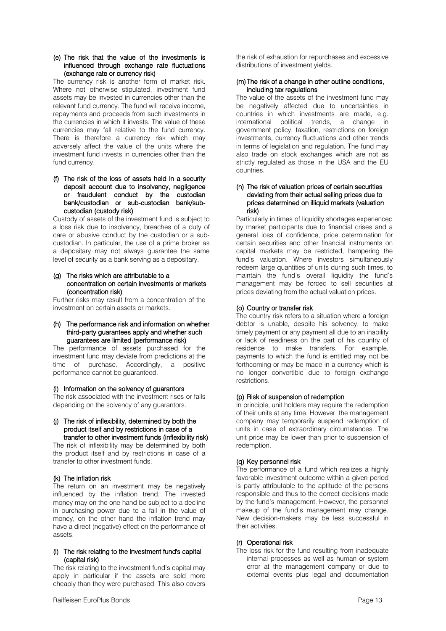#### (e) The risk that the value of the investments is influenced through exchange rate fluctuations (exchange rate or currency risk)

The currency risk is another form of market risk. Where not otherwise stipulated, investment fund assets may be invested in currencies other than the relevant fund currency. The fund will receive income, repayments and proceeds from such investments in the currencies in which it invests. The value of these currencies may fall relative to the fund currency. There is therefore a currency risk which may adversely affect the value of the units where the investment fund invests in currencies other than the fund currency.

#### (f) The risk of the loss of assets held in a security deposit account due to insolvency, negligence or fraudulent conduct by the custodian bank/custodian or sub-custodian bank/subcustodian (custody risk)

Custody of assets of the investment fund is subject to a loss risk due to insolvency, breaches of a duty of care or abusive conduct by the custodian or a subcustodian. In particular, the use of a prime broker as a depositary may not always guarantee the same level of security as a bank serving as a depositary.

#### (g) The risks which are attributable to a concentration on certain investments or markets (concentration risk)

Further risks may result from a concentration of the investment on certain assets or markets.

#### (h) The performance risk and information on whether third-party guarantees apply and whether such guarantees are limited (performance risk)

The performance of assets purchased for the investment fund may deviate from predictions at the time of purchase. Accordingly, a positive performance cannot be guaranteed.

#### (i) Information on the solvency of guarantors

The risk associated with the investment rises or falls depending on the solvency of any guarantors.

#### (j) The risk of inflexibility, determined by both the product itself and by restrictions in case of a transfer to other investment funds (inflexibility risk)

The risk of inflexibility may be determined by both the product itself and by restrictions in case of a transfer to other investment funds.

# (k) The inflation risk

The return on an investment may be negatively influenced by the inflation trend. The invested money may on the one hand be subject to a decline in purchasing power due to a fall in the value of money, on the other hand the inflation trend may have a direct (negative) effect on the performance of assets.

#### (l) The risk relating to the investment fund's capital (capital risk)

The risk relating to the investment fund's capital may apply in particular if the assets are sold more cheaply than they were purchased. This also covers

the risk of exhaustion for repurchases and excessive distributions of investment yields.

#### (m) The risk of a change in other outline conditions, including tax regulations

The value of the assets of the investment fund may be negatively affected due to uncertainties in countries in which investments are made, e.g. international political trends, a change in government policy, taxation, restrictions on foreign investments, currency fluctuations and other trends in terms of legislation and regulation. The fund may also trade on stock exchanges which are not as strictly regulated as those in the USA and the EU countries.

#### (n) The risk of valuation prices of certain securities deviating from their actual selling prices due to prices determined on illiquid markets (valuation risk)

Particularly in times of liquidity shortages experienced by market participants due to financial crises and a general loss of confidence, price determination for certain securities and other financial instruments on capital markets may be restricted, hampering the fund's valuation. Where investors simultaneously redeem large quantities of units during such times, to maintain the fund's overall liquidity the fund's management may be forced to sell securities at prices deviating from the actual valuation prices.

# (o) Country or transfer risk

The country risk refers to a situation where a foreign debtor is unable, despite his solvency, to make timely payment or any payment all due to an inability or lack of readiness on the part of his country of residence to make transfers. For example, payments to which the fund is entitled may not be forthcoming or may be made in a currency which is no longer convertible due to foreign exchange restrictions.

# (p) Risk of suspension of redemption

In principle, unit holders may require the redemption of their units at any time. However, the management company may temporarily suspend redemption of units in case of extraordinary circumstances. The unit price may be lower than prior to suspension of redemption.

# (q) Key personnel risk

The performance of a fund which realizes a highly favorable investment outcome within a given period is partly attributable to the aptitude of the persons responsible and thus to the correct decisions made by the fund's management. However, the personnel makeup of the fund's management may change. New decision-makers may be less successful in their activities.

#### (r) Operational risk

The loss risk for the fund resulting from inadequate internal processes as well as human or system error at the management company or due to external events plus legal and documentation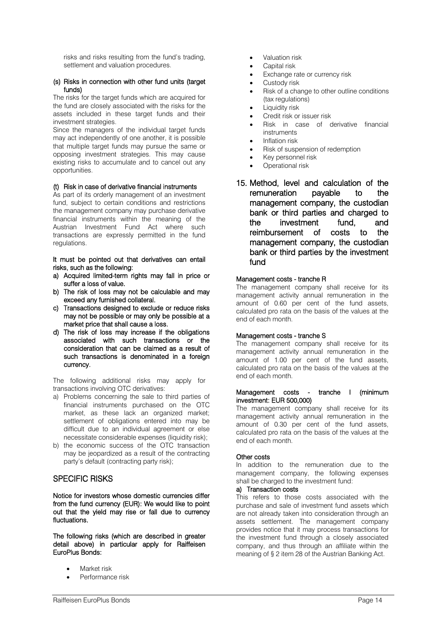risks and risks resulting from the fund's trading, settlement and valuation procedures.

#### (s) Risks in connection with other fund units (target funds)

The risks for the target funds which are acquired for the fund are closely associated with the risks for the assets included in these target funds and their investment strategies.

Since the managers of the individual target funds may act independently of one another, it is possible that multiple target funds may pursue the same or opposing investment strategies. This may cause existing risks to accumulate and to cancel out any opportunities.

#### (t) Risk in case of derivative financial instruments

As part of its orderly management of an investment fund, subject to certain conditions and restrictions the management company may purchase derivative financial instruments within the meaning of the Austrian Investment Fund Act where such transactions are expressly permitted in the fund regulations.

It must be pointed out that derivatives can entail risks, such as the following:

- a) Acquired limited-term rights may fall in price or suffer a loss of value.
- b) The risk of loss may not be calculable and may exceed any furnished collateral.
- c) Transactions designed to exclude or reduce risks may not be possible or may only be possible at a market price that shall cause a loss.
- d) The risk of loss may increase if the obligations associated with such transactions or the consideration that can be claimed as a result of such transactions is denominated in a foreign currency.

The following additional risks may apply for transactions involving OTC derivatives:

- a) Problems concerning the sale to third parties of financial instruments purchased on the OTC market, as these lack an organized market; settlement of obligations entered into may be difficult due to an individual agreement or else necessitate considerable expenses (liquidity risk);
- b) the economic success of the OTC transaction may be jeopardized as a result of the contracting party's default (contracting party risk);

# SPECIFIC RISKS

Notice for investors whose domestic currencies differ from the fund currency (EUR): We would like to point out that the yield may rise or fall due to currency fluctuations.

The following risks (which are described in greater detail above) in particular apply for Raiffeisen EuroPlus Bonds:

- Market risk
- Performance risk
- Valuation risk
- Capital risk
- Exchange rate or currency risk
- Custody risk
- Risk of a change to other outline conditions (tax regulations)
- Liquidity risk
- Credit risk or issuer risk
- Risk in case of derivative financial **instruments**
- Inflation risk
- Risk of suspension of redemption
- Key personnel risk
- Operational risk
- 15. Method, level and calculation of the remuneration payable to the management company, the custodian bank or third parties and charged to the investment fund, and reimbursement of costs to the management company, the custodian bank or third parties by the investment fund

#### Management costs - tranche R

The management company shall receive for its management activity annual remuneration in the amount of 0.60 per cent of the fund assets, calculated pro rata on the basis of the values at the end of each month.

#### Management costs - tranche S

The management company shall receive for its management activity annual remuneration in the amount of 1.00 per cent of the fund assets, calculated pro rata on the basis of the values at the end of each month.

#### Management costs - tranche I (minimum investment: EUR 500,000)

The management company shall receive for its management activity annual remuneration in the amount of 0.30 per cent of the fund assets, calculated pro rata on the basis of the values at the end of each month.

#### Other costs

In addition to the remuneration due to the management company, the following expenses shall be charged to the investment fund:

### a) Transaction costs

This refers to those costs associated with the purchase and sale of investment fund assets which are not already taken into consideration through an assets settlement. The management company provides notice that it may process transactions for the investment fund through a closely associated company, and thus through an affiliate within the meaning of § 2 item 28 of the Austrian Banking Act.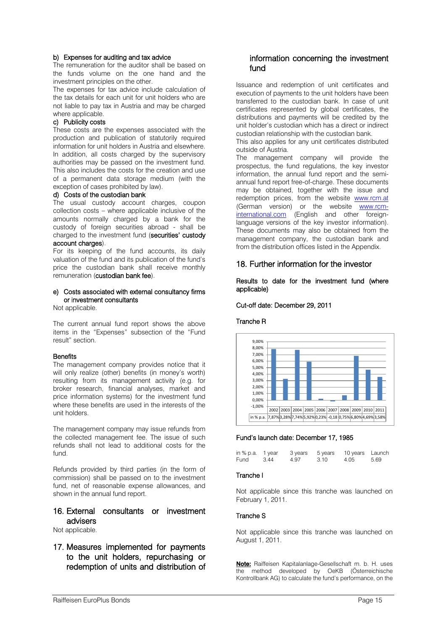### b) Expenses for auditing and tax advice

The remuneration for the auditor shall be based on the funds volume on the one hand and the investment principles on the other.

The expenses for tax advice include calculation of the tax details for each unit for unit holders who are not liable to pay tax in Austria and may be charged where applicable.

#### c) Publicity costs

These costs are the expenses associated with the production and publication of statutorily required information for unit holders in Austria and elsewhere. In addition, all costs charged by the supervisory authorities may be passed on the investment fund. This also includes the costs for the creation and use of a permanent data storage medium (with the exception of cases prohibited by law).

#### d) Costs of the custodian bank

The usual custody account charges, coupon collection costs – where applicable inclusive of the amounts normally charged by a bank for the custody of foreign securities abroad - shall be charged to the investment fund (securities' custody account charges).

For its keeping of the fund accounts, its daily valuation of the fund and its publication of the fund's price the custodian bank shall receive monthly remuneration (custodian bank fee).

### e) Costs associated with external consultancy firms or investment consultants

Not applicable.

The current annual fund report shows the above items in the "Expenses" subsection of the "Fund result" section.

#### **Benefits**

The management company provides notice that it will only realize (other) benefits (in money's worth) resulting from its management activity (e.g. for broker research, financial analyses, market and price information systems) for the investment fund where these benefits are used in the interests of the unit holders.

The management company may issue refunds from the collected management fee. The issue of such refunds shall not lead to additional costs for the fund.

Refunds provided by third parties (in the form of commission) shall be passed on to the investment fund, net of reasonable expense allowances, and shown in the annual fund report.

# 16. External consultants or investment advisers

Not applicable.

17. Measures implemented for payments to the unit holders, repurchasing or redemption of units and distribution of

# information concerning the investment fund

Issuance and redemption of unit certificates and execution of payments to the unit holders have been transferred to the custodian bank. In case of unit certificates represented by global certificates, the distributions and payments will be credited by the unit holder's custodian which has a direct or indirect custodian relationship with the custodian bank.

This also applies for any unit certificates distributed outside of Austria.

The management company will provide the prospectus, the fund regulations, the key investor information, the annual fund report and the semiannual fund report free-of-charge. These documents may be obtained, together with the issue and redemption prices, from the website **[www.rcm.at](http://www.rcm.at/)** (German version) or the website [www.rcm](http://www.rcm-international.com/)[international.com](http://www.rcm-international.com/) (English and other foreignlanguage versions of the key investor information). These documents may also be obtained from the management company, the custodian bank and from the distribution offices listed in the Appendix.

#### 18. Further information for the investor

Results to date for the investment fund (where applicable)

#### Cut-off date: December 29, 2011

#### Tranche R



#### Fund's launch date: December 17, 1985

| in % p.a. 1 year |      | 3 years | 5 years | 10 years Launch |      |
|------------------|------|---------|---------|-----------------|------|
| Fund             | 3.44 | 4.97    | 3.10    | 4.05            | 5.69 |

#### Tranche I

Not applicable since this tranche was launched on February 1, 2011.

#### Tranche S

Not applicable since this tranche was launched on August 1, 2011.

Note: Raiffeisen Kapitalanlage-Gesellschaft m. b. H. uses the method developed by OeKB (Österreichische Kontrollbank AG) to calculate the fund's performance, on the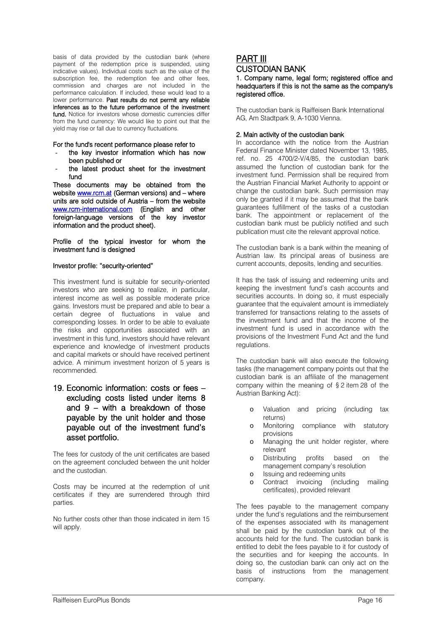basis of data provided by the custodian bank (where payment of the redemption price is suspended, using indicative values). Individual costs such as the value of the subscription fee, the redemption fee and other fees, commission and charges are not included in the performance calculation. If included, these would lead to a lower performance. Past results do not permit any reliable inferences as to the future performance of the investment fund. Notice for investors whose domestic currencies differ from the fund currency: We would like to point out that the yield may rise or fall due to currency fluctuations.

For the fund's recent performance please refer to

- the key investor information which has now been published or
- the latest product sheet for the investment fund

These documents may be obtained from the website [www.rcm.at](http://www.rcm.at/) (German versions) and – where units are sold outside of Austria – from the website [www.rcm-international.com](http://www.rcm-international.com/) (English and other foreign-language versions of the key investor information and the product sheet).

Profile of the typical investor for whom the investment fund is designed

#### Investor profile: "security-oriented"

This investment fund is suitable for security-oriented investors who are seeking to realize, in particular, interest income as well as possible moderate price gains. Investors must be prepared and able to bear a certain degree of fluctuations in value and corresponding losses. In order to be able to evaluate the risks and opportunities associated with an investment in this fund, investors should have relevant experience and knowledge of investment products and capital markets or should have received pertinent advice. A minimum investment horizon of 5 years is recommended.

19. Economic information: costs or fees – excluding costs listed under items 8 and 9 – with a breakdown of those payable by the unit holder and those payable out of the investment fund's asset portfolio.

The fees for custody of the unit certificates are based on the agreement concluded between the unit holder and the custodian.

Costs may be incurred at the redemption of unit certificates if they are surrendered through third parties.

No further costs other than those indicated in item 15 will apply.

# PART III

CUSTODIAN BANK

1. Company name, legal form; registered office and headquarters if this is not the same as the company's registered office.

The custodian bank is Raiffeisen Bank International AG, Am Stadtpark 9, A-1030 Vienna.

#### 2. Main activity of the custodian bank

In accordance with the notice from the Austrian Federal Finance Minister dated November 13, 1985, ref. no. 25 4700/2-V/4/85, the custodian bank assumed the function of custodian bank for the investment fund. Permission shall be required from the Austrian Financial Market Authority to appoint or change the custodian bank. Such permission may only be granted if it may be assumed that the bank guarantees fulfillment of the tasks of a custodian bank. The appointment or replacement of the custodian bank must be publicly notified and such publication must cite the relevant approval notice.

The custodian bank is a bank within the meaning of Austrian law. Its principal areas of business are current accounts, deposits, lending and securities.

It has the task of issuing and redeeming units and keeping the investment fund's cash accounts and securities accounts. In doing so, it must especially guarantee that the equivalent amount is immediately transferred for transactions relating to the assets of the investment fund and that the income of the investment fund is used in accordance with the provisions of the Investment Fund Act and the fund regulations.

The custodian bank will also execute the following tasks (the management company points out that the custodian bank is an affiliate of the management company within the meaning of § 2 item 28 of the Austrian Banking Act):

- o Valuation and pricing (including tax returns)
- o Monitoring compliance with statutory provisions
- o Managing the unit holder register, where relevant
- o Distributing profits based on the management company's resolution
- o Issuing and redeeming units
- o Contract invoicing (including mailing certificates), provided relevant

The fees payable to the management company under the fund's regulations and the reimbursement of the expenses associated with its management shall be paid by the custodian bank out of the accounts held for the fund. The custodian bank is entitled to debit the fees payable to it for custody of the securities and for keeping the accounts. In doing so, the custodian bank can only act on the basis of instructions from the management company.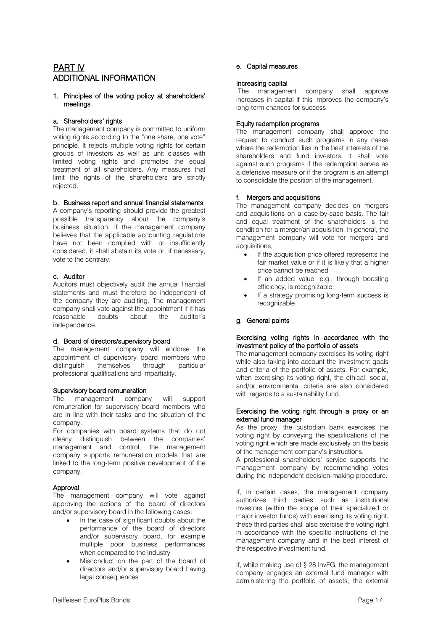# PART IV ADDITIONAL INFORMATION

#### 1. Principles of the voting policy at shareholders' meetings

#### a. Shareholders' rights

The management company is committed to uniform voting rights according to the "one share, one vote" principle. It rejects multiple voting rights for certain groups of investors as well as unit classes with limited voting rights and promotes the equal treatment of all shareholders. Any measures that limit the rights of the shareholders are strictly rejected.

#### b. Business report and annual financial statements

A company's reporting should provide the greatest possible transparency about the company's business situation. If the management company believes that the applicable accounting regulations have not been complied with or insufficiently considered, it shall abstain its vote or, if necessary, vote to the contrary.

#### c. Auditor

Auditors must objectively audit the annual financial statements and must therefore be independent of the company they are auditing. The management company shall vote against the appointment if it has<br>reasonable doubts about the auditor's reasonable doubts about the auditor's independence.

#### d. Board of directors/supervisory board

The management company will endorse the appointment of supervisory board members who distinguish themselves through particular professional qualifications and impartiality.

#### Supervisory board remuneration

The management company will support remuneration for supervisory board members who are in line with their tasks and the situation of the company.

For companies with board systems that do not clearly distinguish between the companies' management and control, the management company supports remuneration models that are linked to the long-term positive development of the company.

# Approval

The management company will vote against approving the actions of the board of directors and/or supervisory board in the following cases:

- In the case of significant doubts about the performance of the board of directors and/or supervisory board, for example multiple poor business performances when compared to the industry
- Misconduct on the part of the board of directors and/or supervisory board having legal consequences

### e. Capital measures

#### Increasing capital

The management company shall approve increases in capital if this improves the company's long-term chances for success.

#### Equity redemption programs

The management company shall approve the request to conduct such programs in any cases where the redemption lies in the best interests of the shareholders and fund investors. It shall vote against such programs if the redemption serves as a defensive measure or if the program is an attempt to consolidate the position of the management.

#### f. Mergers and acquisitions

The management company decides on mergers and acquisitions on a case-by-case basis. The fair and equal treatment of the shareholders is the condition for a merger/an acquisition. In general, the management company will vote for mergers and acquisitions,

- If the acquisition price offered represents the fair market value or if it is likely that a higher price cannot be reached
- If an added value, e.g., through boosting efficiency, is recognizable
- If a strategy promising long-term success is recognizable

# g. General points

#### Exercising voting rights in accordance with the investment policy of the portfolio of assets

The management company exercises its voting right while also taking into account the investment goals and criteria of the portfolio of assets. For example, when exercising its voting right, the ethical, social, and/or environmental criteria are also considered with regards to a sustainability fund.

#### Exercising the voting right through a proxy or an external fund manager

As the proxy, the custodian bank exercises the voting right by conveying the specifications of the voting right which are made exclusively on the basis of the management company's instructions.

A professional shareholders' service supports the management company by recommending votes during the independent decision-making procedure.

If, in certain cases, the management company authorizes third parties such as institutional investors (within the scope of their specialized or major investor funds) with exercising its voting right, these third parties shall also exercise the voting right in accordance with the specific instructions of the management company and in the best interest of the respective investment fund.

If, while making use of § 28 InvFG, the management company engages an external fund manager with administering the portfolio of assets, the external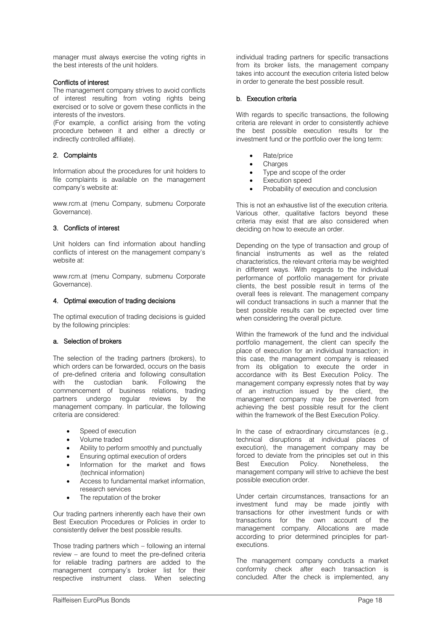manager must always exercise the voting rights in the best interests of the unit holders.

#### Conflicts of interest

The management company strives to avoid conflicts of interest resulting from voting rights being exercised or to solve or govern these conflicts in the interests of the investors.

(For example, a conflict arising from the voting procedure between it and either a directly or indirectly controlled affiliate).

#### 2. Complaints

Information about the procedures for unit holders to file complaints is available on the management company's website at:

www.rcm.at (menu Company, submenu Corporate Governance).

#### 3. Conflicts of interest

Unit holders can find information about handling conflicts of interest on the management company's website at:

www.rcm.at (menu Company, submenu Corporate Governance).

#### 4. Optimal execution of trading decisions

The optimal execution of trading decisions is guided by the following principles:

#### a. Selection of brokers

The selection of the trading partners (brokers), to which orders can be forwarded, occurs on the basis of pre-defined criteria and following consultation with the custodian bank. Following the commencement of business relations, trading partners undergo regular reviews by the management company. In particular, the following criteria are considered:

- Speed of execution
- Volume traded
- Ability to perform smoothly and punctually
- Ensuring optimal execution of orders
- Information for the market and flows (technical information)
- Access to fundamental market information, research services
- The reputation of the broker

Our trading partners inherently each have their own Best Execution Procedures or Policies in order to consistently deliver the best possible results.

Those trading partners which – following an internal review – are found to meet the pre-defined criteria for reliable trading partners are added to the management company's broker list for their respective instrument class. When selecting

individual trading partners for specific transactions from its broker lists, the management company takes into account the execution criteria listed below in order to generate the best possible result.

#### b. Execution criteria

With regards to specific transactions, the following criteria are relevant in order to consistently achieve the best possible execution results for the investment fund or the portfolio over the long term:

- Rate/price
- **Charges**
- Type and scope of the order
- Execution speed
- Probability of execution and conclusion

This is not an exhaustive list of the execution criteria. Various other, qualitative factors beyond these criteria may exist that are also considered when deciding on how to execute an order.

Depending on the type of transaction and group of financial instruments as well as the related characteristics, the relevant criteria may be weighted in different ways. With regards to the individual performance of portfolio management for private clients, the best possible result in terms of the overall fees is relevant. The management company will conduct transactions in such a manner that the best possible results can be expected over time when considering the overall picture.

Within the framework of the fund and the individual portfolio management, the client can specify the place of execution for an individual transaction; in this case, the management company is released from its obligation to execute the order in accordance with its Best Execution Policy. The management company expressly notes that by way of an instruction issued by the client, the management company may be prevented from achieving the best possible result for the client within the framework of the Best Execution Policy.

In the case of extraordinary circumstances (e.g., technical disruptions at individual places of execution), the management company may be forced to deviate from the principles set out in this Best Execution Policy. Nonetheless, the management company will strive to achieve the best possible execution order.

Under certain circumstances, transactions for an investment fund may be made jointly with transactions for other investment funds or with transactions for the own account of the management company. Allocations are made according to prior determined principles for partexecutions.

The management company conducts a market conformity check after each transaction is concluded. After the check is implemented, any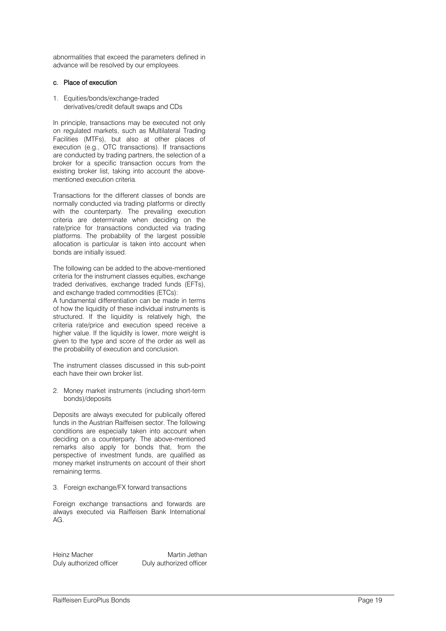abnormalities that exceed the parameters defined in advance will be resolved by our employees.

#### c. Place of execution

1. Equities/bonds/exchange -traded derivatives/credit default swaps and CDs

In principle, transactions may be executed not only on regulated markets, such as Multilateral Trading Facilities (MTFs), but also at other places of execution (e.g., OTC transactions). If transactions are conducted by trading partners, the selection of a broker for a specific transaction occurs from the existing broker list, taking into account the above mentioned execution criteria.

Transactions for the different classes of bonds are normally conducted via trading platforms or directly with the counterparty. The prevailing execution criteria are determinate when deciding on the rate/price for transactions conducted via trading platforms. The probability of the largest possible allocation is particular is taken into account when bonds are initially issued.

The following can be added to the above -mentioned criteria for the instrument classes equities, exchange traded derivatives, exchange traded funds (EFTs), and exchange traded commodities (ETCs):

A fundamental differentiation can be made in terms of how the liquidity of these individual instruments is structured. If the liquidity is relatively high, the criteria rate/price and execution speed receive a higher value. If the liquidity is lower, more weight is given to the type and score of the order as well as the probability of execution and conclusion.

The instrument classes discussed in this sub -point each have their own broker list.

#### 2. Money market instruments (including short -term bonds)/deposits

Deposits are always executed for publically offered funds in the Austrian Raiffeisen sector. The following conditions are especially taken into account when deciding on a counterparty. The above -mentioned remarks also apply for bonds that, from the perspective of investment funds, are qualified as money market instruments on account of their short remaining terms.

#### 3. Foreign exchange/FX forward transactions

Foreign exchange transactions and forwards are always executed via Raiffeisen Bank International  $AG$ 

Heinz Macher **Martin Jethan** Duly authorized officer Duly authorized officer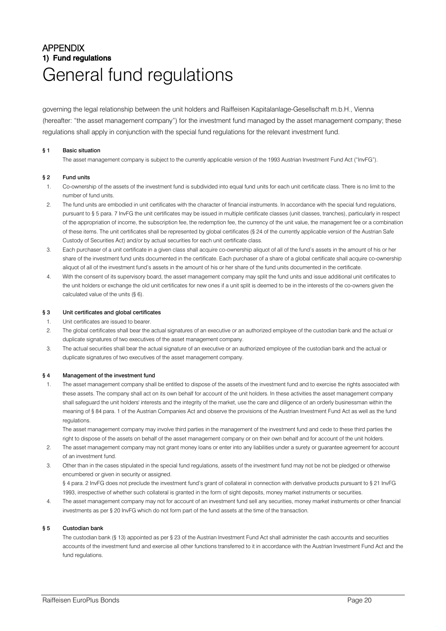# APPENDIX 1) Fund regulations General fund regulations

governing the legal relationship between the unit holders and Raiffeisen Kapitalanlage-Gesellschaft m.b.H., Vienna (hereafter: "the asset management company") for the investment fund managed by the asset management company; these regulations shall apply in conjunction with the special fund regulations for the relevant investment fund.

#### § 1 Basic situation

The asset management company is subject to the currently applicable version of the 1993 Austrian Investment Fund Act ("InvFG").

#### § 2 Fund units

- 1. Co-ownership of the assets of the investment fund is subdivided into equal fund units for each unit certificate class. There is no limit to the number of fund units.
- 2. The fund units are embodied in unit certificates with the character of financial instruments. In accordance with the special fund regulations, pursuant to § 5 para. 7 InvFG the unit certificates may be issued in multiple certificate classes (unit classes, tranches), particularly in respect of the appropriation of income, the subscription fee, the redemption fee, the currency of the unit value, the management fee or a combination of these items. The unit certificates shall be represented by global certificates (§ 24 of the currently applicable version of the Austrian Safe Custody of Securities Act) and/or by actual securities for each unit certificate class.
- 3. Each purchaser of a unit certificate in a given class shall acquire co-ownership aliquot of all of the fund's assets in the amount of his or her share of the investment fund units documented in the certificate. Each purchaser of a share of a global certificate shall acquire co-ownership aliquot of all of the investment fund's assets in the amount of his or her share of the fund units documented in the certificate.
- 4. With the consent of its supervisory board, the asset management company may split the fund units and issue additional unit certificates to the unit holders or exchange the old unit certificates for new ones if a unit split is deemed to be in the interests of the co-owners given the calculated value of the units (§ 6).

#### § 3 Unit certificates and global certificates

- 1. Unit certificates are issued to bearer.
- 2. The global certificates shall bear the actual signatures of an executive or an authorized employee of the custodian bank and the actual or duplicate signatures of two executives of the asset management company.
- 3. The actual securities shall bear the actual signature of an executive or an authorized employee of the custodian bank and the actual or duplicate signatures of two executives of the asset management company.

#### § 4 Management of the investment fund

1. The asset management company shall be entitled to dispose of the assets of the investment fund and to exercise the rights associated with these assets. The company shall act on its own behalf for account of the unit holders. In these activities the asset management company shall safeguard the unit holders' interests and the integrity of the market, use the care and diligence of an orderly businessman within the meaning of § 84 para. 1 of the Austrian Companies Act and observe the provisions of the Austrian Investment Fund Act as well as the fund regulations.

The asset management company may involve third parties in the management of the investment fund and cede to these third parties the right to dispose of the assets on behalf of the asset management company or on their own behalf and for account of the unit holders.

- 2. The asset management company may not grant money loans or enter into any liabilities under a surety or guarantee agreement for account of an investment fund.
- 3. Other than in the cases stipulated in the special fund regulations, assets of the investment fund may not be not be pledged or otherwise encumbered or given in security or assigned. § 4 para. 2 InvFG does not preclude the investment fund's grant of collateral in connection with derivative products pursuant to § 21 InvFG

1993, irrespective of whether such collateral is granted in the form of sight deposits, money market instruments or securities.

4. The asset management company may not for account of an investment fund sell any securities, money market instruments or other financial investments as per § 20 InvFG which do not form part of the fund assets at the time of the transaction.

#### § 5 Custodian bank

The custodian bank (§ 13) appointed as per § 23 of the Austrian Investment Fund Act shall administer the cash accounts and securities accounts of the investment fund and exercise all other functions transferred to it in accordance with the Austrian Investment Fund Act and the fund regulations.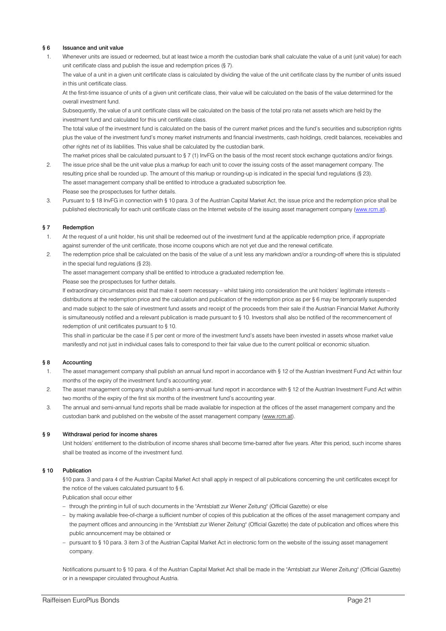#### § 6 Issuance and unit value

1. Whenever units are issued or redeemed, but at least twice a month the custodian bank shall calculate the value of a unit (unit value) for each unit certificate class and publish the issue and redemption prices (§ 7).

The value of a unit in a given unit certificate class is calculated by dividing the value of the unit certificate class by the number of units issued in this unit certificate class.

At the first-time issuance of units of a given unit certificate class, their value will be calculated on the basis of the value determined for the overall investment fund.

Subsequently, the value of a unit certificate class will be calculated on the basis of the total pro rata net assets which are held by the investment fund and calculated for this unit certificate class.

The total value of the investment fund is calculated on the basis of the current market prices and the fund's securities and subscription rights plus the value of the investment fund's money market instruments and financial investments, cash holdings, credit balances, receivables and other rights net of its liabilities. This value shall be calculated by the custodian bank.

The market prices shall be calculated pursuant to § 7 (1) InvFG on the basis of the most recent stock exchange quotations and/or fixings. 2. The issue price shall be the unit value plus a markup for each unit to cover the issuing costs of the asset management company. The resulting price shall be rounded up. The amount of this markup or rounding-up is indicated in the special fund regulations (§ 23). The asset management company shall be entitled to introduce a graduated subscription fee. Please see the prospectuses for further details.

3. Pursuant to § 18 InvFG in connection with § 10 para. 3 of the Austrian Capital Market Act, the issue price and the redemption price shall be published electronically for each unit certificate class on the Internet website of the issuing asset management company [\(www.rcm.at\)](http://www.rcm.at/).

#### § 7 Redemption

- 1. At the request of a unit holder, his unit shall be redeemed out of the investment fund at the applicable redemption price, if appropriate against surrender of the unit certificate, those income coupons which are not yet due and the renewal certificate.
- 2. The redemption price shall be calculated on the basis of the value of a unit less any markdown and/or a rounding-off where this is stipulated in the special fund regulations (§ 23).

The asset management company shall be entitled to introduce a graduated redemption fee.

Please see the prospectuses for further details.

If extraordinary circumstances exist that make it seem necessary – whilst taking into consideration the unit holders' legitimate interests – distributions at the redemption price and the calculation and publication of the redemption price as per § 6 may be temporarily suspended and made subject to the sale of investment fund assets and receipt of the proceeds from their sale if the Austrian Financial Market Authority is simultaneously notified and a relevant publication is made pursuant to § 10. Investors shall also be notified of the recommencement of redemption of unit certificates pursuant to § 10.

This shall in particular be the case if 5 per cent or more of the investment fund's assets have been invested in assets whose market value manifestly and not just in individual cases fails to correspond to their fair value due to the current political or economic situation.

#### § 8 Accounting

- 1. The asset management company shall publish an annual fund report in accordance with § 12 of the Austrian Investment Fund Act within four months of the expiry of the investment fund's accounting year.
- 2. The asset management company shall publish a semi-annual fund report in accordance with § 12 of the Austrian Investment Fund Act within two months of the expiry of the first six months of the investment fund's accounting year.
- 3. The annual and semi-annual fund reports shall be made available for inspection at the offices of the asset management company and the custodian bank and published on the website of the asset management company (www.rcm.at).

#### § 9 Withdrawal period for income shares

Unit holders' entitlement to the distribution of income shares shall become time-barred after five years. After this period, such income shares shall be treated as income of the investment fund.

#### § 10 Publication

§10 para. 3 and para 4 of the Austrian Capital Market Act shall apply in respect of all publications concerning the unit certificates except for the notice of the values calculated pursuant to § 6.

Publication shall occur either

- through the printing in full of such documents in the "Amtsblatt zur Wiener Zeitung" (Official Gazette) or else
- by making available free-of-charge a sufficient number of copies of this publication at the offices of the asset management company and the payment offices and announcing in the "Amtsblatt zur Wiener Zeitung" (Official Gazette) the date of publication and offices where this public announcement may be obtained or
- pursuant to § 10 para. 3 item 3 of the Austrian Capital Market Act in electronic form on the website of the issuing asset management company.

Notifications pursuant to § 10 para. 4 of the Austrian Capital Market Act shall be made in the "Amtsblatt zur Wiener Zeitung" (Official Gazette) or in a newspaper circulated throughout Austria.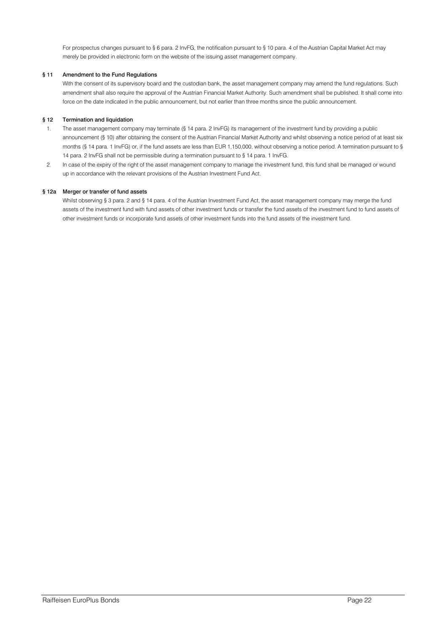For prospectus changes pursuant to § 6 para. 2 InvFG, the notification pursuant to § 10 para. 4 of the Austrian Capital Market Act may merely be provided in electronic form on the website of the issuing asset management company.

#### § 11 Amendment to the Fund Regulations

With the consent of its supervisory board and the custodian bank, the asset management company may amend the fund regulations. Such amendment shall also require the approval of the Austrian Financial Market Authority. Such amendment shall be published. It shall come into force on the date indicated in the public announcement, but not earlier than three months since the public announcement.

#### § 12 Termination and liquidation

- 1. The asset management company may terminate (§ 14 para. 2 InvFG) its management of the investment fund by providing a public announcement (§ 10) after obtaining the consent of the Austrian Financial Market Authority and whilst observing a notice period of at least six months (§ 14 para. 1 InvFG) or, if the fund assets are less than EUR 1,150,000, without observing a notice period. A termination pursuant to § 14 para. 2 InvFG shall not be permissible during a termination pursuant to § 14 para. 1 InvFG.
- 2. In case of the expiry of the right of the asset management company to manage the investment fund, this fund shall be managed or wound up in accordance with the relevant provisions of the Austrian Investment Fund Act.

#### § 12a Merger or transfer of fund assets

Whilst observing § 3 para. 2 and § 14 para. 4 of the Austrian Investment Fund Act, the asset management company may merge the fund assets of the investment fund with fund assets of other investment funds or transfer the fund assets of the investment fund to fund assets of other investment funds or incorporate fund assets of other investment funds into the fund assets of the investment fund.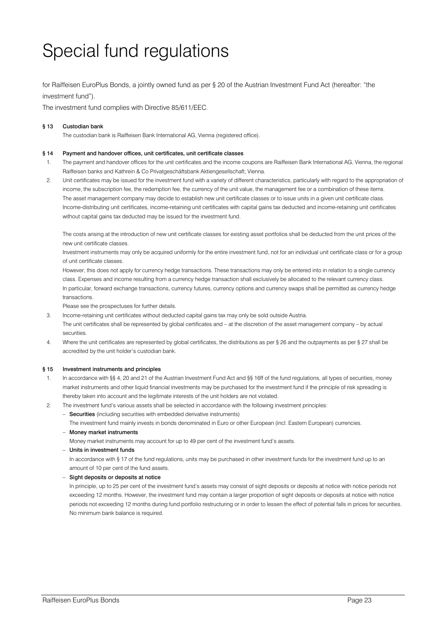# Special fund regulations

for Raiffeisen EuroPlus Bonds, a jointly owned fund as per § 20 of the Austrian Investment Fund Act (hereafter: "the investment fund").

The investment fund complies with Directive 85/611/EEC.

#### § 13 Custodian bank

The custodian bank is Raiffeisen Bank International AG, Vienna (registered office).

#### § 14 Payment and handover offices, unit certificates, unit certificate classes

- 1. The payment and handover offices for the unit certificates and the income coupons are Raiffeisen Bank International AG, Vienna, the regional Raiffeisen banks and Kathrein & Co Privatgeschäftsbank Aktiengesellschaft, Vienna.
- 2. Unit certificates may be issued for the investment fund with a variety of different characteristics, particularly with regard to the appropriation of income, the subscription fee, the redemption fee, the currency of the unit value, the management fee or a combination of these items. The asset management company may decide to establish new unit certificate classes or to issue units in a given unit certificate class. Income-distributing unit certificates, income-retaining unit certificates with capital gains tax deducted and income-retaining unit certificates without capital gains tax deducted may be issued for the investment fund.

The costs arising at the introduction of new unit certificate classes for existing asset portfolios shall be deducted from the unit prices of the new unit certificate classes.

Investment instruments may only be acquired uniformly for the entire investment fund, not for an individual unit certificate class or for a group of unit certificate classes.

However, this does not apply for currency hedge transactions. These transactions may only be entered into in relation to a single currency class. Expenses and income resulting from a currency hedge transaction shall exclusively be allocated to the relevant currency class. In particular, forward exchange transactions, currency futures, currency options and currency swaps shall be permitted as currency hedge transactions.

Please see the prospectuses for further details.

- 3. Income-retaining unit certificates without deducted capital gains tax may only be sold outside Austria. The unit certificates shall be represented by global certificates and – at the discretion of the asset management company – by actual securities.
- 4. Where the unit certificates are represented by global certificates, the distributions as per § 26 and the outpayments as per § 27 shall be accredited by the unit holder's custodian bank.

#### § 15 Investment instruments and principles

- 1. In accordance with §§ 4, 20 and 21 of the Austrian Investment Fund Act and §§ 16ff of the fund regulations, all types of securities, money market instruments and other liquid financial investments may be purchased for the investment fund if the principle of risk spreading is thereby taken into account and the legitimate interests of the unit holders are not violated.
- 2. The investment fund's various assets shall be selected in accordance with the following investment principles:
	- Securities (including securities with embedded derivative instruments)
		- The investment fund mainly invests in bonds denominated in Euro or other European (incl. Eastern European) currencies.
	- Money market instruments

Money market instruments may account for up to 49 per cent of the investment fund's assets.

– Units in investment funds

In accordance with § 17 of the fund regulations, units may be purchased in other investment funds for the investment fund up to an amount of 10 per cent of the fund assets.

– Sight deposits or deposits at notice

In principle, up to 25 per cent of the investment fund's assets may consist of sight deposits or deposits at notice with notice periods not exceeding 12 months. However, the investment fund may contain a larger proportion of sight deposits or deposits at notice with notice periods not exceeding 12 months during fund portfolio restructuring or in order to lessen the effect of potential falls in prices for securities. No minimum bank balance is required.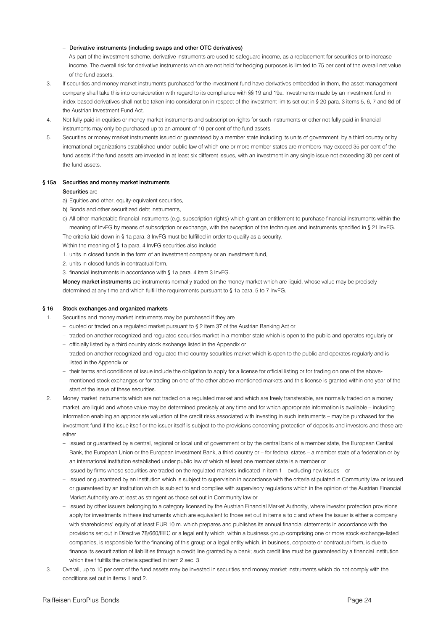#### – Derivative instruments (including swaps and other OTC derivatives)

As part of the investment scheme, derivative instruments are used to safeguard income, as a replacement for securities or to increase income. The overall risk for derivative instruments which are not held for hedging purposes is limited to 75 per cent of the overall net value of the fund assets.

- 3. If securities and money market instruments purchased for the investment fund have derivatives embedded in them, the asset management company shall take this into consideration with regard to its compliance with §§ 19 and 19a. Investments made by an investment fund in index-based derivatives shall not be taken into consideration in respect of the investment limits set out in § 20 para. 3 items 5, 6, 7 and 8d of the Austrian Investment Fund Act.
- 4. Not fully paid-in equities or money market instruments and subscription rights for such instruments or other not fully paid-in financial instruments may only be purchased up to an amount of 10 per cent of the fund assets.
- 5. Securities or money market instruments issued or guaranteed by a member state including its units of government, by a third country or by international organizations established under public law of which one or more member states are members may exceed 35 per cent of the fund assets if the fund assets are invested in at least six different issues, with an investment in any single issue not exceeding 30 per cent of the fund assets.

#### § 15a Securities and money market instruments

#### Securities are

- a) Equities and other, equity-equivalent securities,
- b) Bonds and other securitized debt instruments,
- c) All other marketable financial instruments (e.g. subscription rights) which grant an entitlement to purchase financial instruments within the meaning of InvFG by means of subscription or exchange, with the exception of the techniques and instruments specified in § 21 InvFG.

The criteria laid down in § 1a para. 3 InvFG must be fulfilled in order to qualify as a security.

- Within the meaning of § 1a para. 4 InvFG securities also include
- 1. units in closed funds in the form of an investment company or an investment fund,
- 2. units in closed funds in contractual form,
- 3. financial instruments in accordance with § 1a para. 4 item 3 InvFG.

Money market instruments are instruments normally traded on the money market which are liquid, whose value may be precisely determined at any time and which fulfill the requirements pursuant to § 1a para. 5 to 7 InvFG.

#### § 16 Stock exchanges and organized markets

Securities and money market instruments may be purchased if they are

- quoted or traded on a regulated market pursuant to § 2 item 37 of the Austrian Banking Act or
- traded on another recognized and regulated securities market in a member state which is open to the public and operates regularly or
- officially listed by a third country stock exchange listed in the Appendix or
- traded on another recognized and regulated third country securities market which is open to the public and operates regularly and is listed in the Appendix or
- their terms and conditions of issue include the obligation to apply for a license for official listing or for trading on one of the abovementioned stock exchanges or for trading on one of the other above-mentioned markets and this license is granted within one year of the start of the issue of these securities.
- 2. Money market instruments which are not traded on a regulated market and which are freely transferable, are normally traded on a money market, are liquid and whose value may be determined precisely at any time and for which appropriate information is available – including information enabling an appropriate valuation of the credit risks associated with investing in such instruments – may be purchased for the investment fund if the issue itself or the issuer itself is subject to the provisions concerning protection of deposits and investors and these are either
	- issued or guaranteed by a central, regional or local unit of government or by the central bank of a member state, the European Central Bank, the European Union or the European Investment Bank, a third country or – for federal states – a member state of a federation or by an international institution established under public law of which at least one member state is a member or
	- issued by firms whose securities are traded on the regulated markets indicated in item 1 excluding new issues or
	- issued or guaranteed by an institution which is subject to supervision in accordance with the criteria stipulated in Community law or issued or guaranteed by an institution which is subject to and complies with supervisory regulations which in the opinion of the Austrian Financial Market Authority are at least as stringent as those set out in Community law or
	- issued by other issuers belonging to a category licensed by the Austrian Financial Market Authority, where investor protection provisions apply for investments in these instruments which are equivalent to those set out in items a to c and where the issuer is either a company with shareholders' equity of at least EUR 10 m. which prepares and publishes its annual financial statements in accordance with the provisions set out in Directive 78/660/EEC or a legal entity which, within a business group comprising one or more stock exchange-listed companies, is responsible for the financing of this group or a legal entity which, in business, corporate or contractual form, is due to finance its securitization of liabilities through a credit line granted by a bank; such credit line must be guaranteed by a financial institution which itself fulfills the criteria specified in item 2 sec. 3.
- 3. Overall, up to 10 per cent of the fund assets may be invested in securities and money market instruments which do not comply with the conditions set out in items 1 and 2.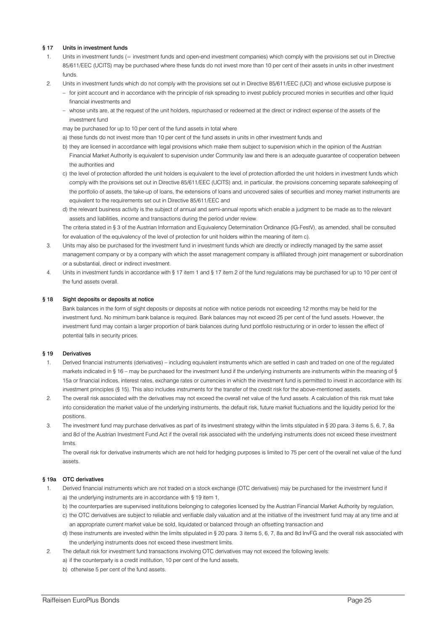#### § 17 Units in investment funds

- 1. Units in investment funds (= investment funds and open-end investment companies) which comply with the provisions set out in Directive 85/611/EEC (UCITS) may be purchased where these funds do not invest more than 10 per cent of their assets in units in other investment funds.
- 2. Units in investment funds which do not comply with the provisions set out in Directive 85/611/EEC (UCI) and whose exclusive purpose is
	- for joint account and in accordance with the principle of risk spreading to invest publicly procured monies in securities and other liquid financial investments and
	- whose units are, at the request of the unit holders, repurchased or redeemed at the direct or indirect expense of the assets of the investment fund
	- may be purchased for up to 10 per cent of the fund assets in total where
	- a) these funds do not invest more than 10 per cent of the fund assets in units in other investment funds and
	- b) they are licensed in accordance with legal provisions which make them subject to supervision which in the opinion of the Austrian Financial Market Authority is equivalent to supervision under Community law and there is an adequate guarantee of cooperation between the authorities and
	- c) the level of protection afforded the unit holders is equivalent to the level of protection afforded the unit holders in investment funds which comply with the provisions set out in Directive 85/611/EEC (UCITS) and, in particular, the provisions concerning separate safekeeping of the portfolio of assets, the take-up of loans, the extensions of loans and uncovered sales of securities and money market instruments are equivalent to the requirements set out in Directive 85/611/EEC and
	- d) the relevant business activity is the subject of annual and semi-annual reports which enable a judgment to be made as to the relevant assets and liabilities, income and transactions during the period under review.

The criteria stated in § 3 of the Austrian Information and Equivalency Determination Ordinance (IG-FestV), as amended, shall be consulted for evaluation of the equivalency of the level of protection for unit holders within the meaning of item c).

- 3. Units may also be purchased for the investment fund in investment funds which are directly or indirectly managed by the same asset management company or by a company with which the asset management company is affiliated through joint management or subordination or a substantial, direct or indirect investment.
- 4. Units in investment funds in accordance with § 17 item 1 and § 17 item 2 of the fund regulations may be purchased for up to 10 per cent of the fund assets overall.

#### § 18 Sight deposits or deposits at notice

Bank balances in the form of sight deposits or deposits at notice with notice periods not exceeding 12 months may be held for the investment fund. No minimum bank balance is required. Bank balances may not exceed 25 per cent of the fund assets. However, the investment fund may contain a larger proportion of bank balances during fund portfolio restructuring or in order to lessen the effect of potential falls in security prices.

#### § 19 Derivatives

- 1. Derived financial instruments (derivatives) including equivalent instruments which are settled in cash and traded on one of the regulated markets indicated in § 16 – may be purchased for the investment fund if the underlying instruments are instruments within the meaning of § 15a or financial indices, interest rates, exchange rates or currencies in which the investment fund is permitted to invest in accordance with its investment principles (§ 15). This also includes instruments for the transfer of the credit risk for the above-mentioned assets.
- 2. The overall risk associated with the derivatives may not exceed the overall net value of the fund assets. A calculation of this risk must take into consideration the market value of the underlying instruments, the default risk, future market fluctuations and the liquidity period for the positions.
- 3. The investment fund may purchase derivatives as part of its investment strategy within the limits stipulated in § 20 para. 3 items 5, 6, 7, 8a and 8d of the Austrian Investment Fund Act if the overall risk associated with the underlying instruments does not exceed these investment limits.

The overall risk for derivative instruments which are not held for hedging purposes is limited to 75 per cent of the overall net value of the fund assets.

#### § 19a OTC derivatives

- 1. Derived financial instruments which are not traded on a stock exchange (OTC derivatives) may be purchased for the investment fund if a) the underlying instruments are in accordance with § 19 item 1,
	- b) the counterparties are supervised institutions belonging to categories licensed by the Austrian Financial Market Authority by regulation,
	- c) the OTC derivatives are subject to reliable and verifiable daily valuation and at the initiative of the investment fund may at any time and at an appropriate current market value be sold, liquidated or balanced through an offsetting transaction and
	- d) these instruments are invested within the limits stipulated in § 20 para. 3 items 5, 6, 7, 8a and 8d InvFG and the overall risk associated with the underlying instruments does not exceed these investment limits.
- 2. The default risk for investment fund transactions involving OTC derivatives may not exceed the following levels:
	- a) if the counterparty is a credit institution, 10 per cent of the fund assets,
		- b) otherwise 5 per cent of the fund assets.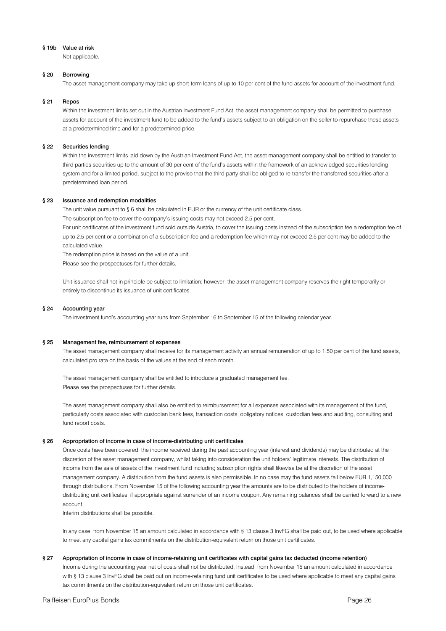#### § 19b Value at risk

Not applicable.

#### § 20 Borrowing

The asset management company may take up short-term loans of up to 10 per cent of the fund assets for account of the investment fund.

#### § 21 Repos

Within the investment limits set out in the Austrian Investment Fund Act, the asset management company shall be permitted to purchase assets for account of the investment fund to be added to the fund's assets subject to an obligation on the seller to repurchase these assets at a predetermined time and for a predetermined price.

#### § 22 Securities lending

Within the investment limits laid down by the Austrian Investment Fund Act, the asset management company shall be entitled to transfer to third parties securities up to the amount of 30 per cent of the fund's assets within the framework of an acknowledged securities lending system and for a limited period, subject to the proviso that the third party shall be obliged to re-transfer the transferred securities after a predetermined loan period.

#### § 23 Issuance and redemption modalities

The unit value pursuant to § 6 shall be calculated in EUR or the currency of the unit certificate class.

The subscription fee to cover the company's issuing costs may not exceed 2.5 per cent.

For unit certificates of the investment fund sold outside Austria, to cover the issuing costs instead of the subscription fee a redemption fee of up to 2.5 per cent or a combination of a subscription fee and a redemption fee which may not exceed 2.5 per cent may be added to the calculated value.

The redemption price is based on the value of a unit.

Please see the prospectuses for further details.

Unit issuance shall not in principle be subject to limitation; however, the asset management company reserves the right temporarily or entirely to discontinue its issuance of unit certificates.

#### § 24 Accounting year

The investment fund's accounting year runs from September 16 to September 15 of the following calendar year.

#### § 25 Management fee, reimbursement of expenses

The asset management company shall receive for its management activity an annual remuneration of up to 1.50 per cent of the fund assets, calculated pro rata on the basis of the values at the end of each month.

The asset management company shall be entitled to introduce a graduated management fee. Please see the prospectuses for further details.

The asset management company shall also be entitled to reimbursement for all expenses associated with its management of the fund, particularly costs associated with custodian bank fees, transaction costs, obligatory notices, custodian fees and auditing, consulting and fund report costs.

#### § 26 Appropriation of income in case of income-distributing unit certificates

Once costs have been covered, the income received during the past accounting year (interest and dividends) may be distributed at the discretion of the asset management company, whilst taking into consideration the unit holders' legitimate interests. The distribution of income from the sale of assets of the investment fund including subscription rights shall likewise be at the discretion of the asset management company. A distribution from the fund assets is also permissible. In no case may the fund assets fall below EUR 1,150,000 through distributions. From November 15 of the following accounting year the amounts are to be distributed to the holders of incomedistributing unit certificates, if appropriate against surrender of an income coupon. Any remaining balances shall be carried forward to a new account.

Interim distributions shall be possible.

In any case, from November 15 an amount calculated in accordance with § 13 clause 3 InvFG shall be paid out, to be used where applicable to meet any capital gains tax commitments on the distribution-equivalent return on those unit certificates.

#### § 27 Appropriation of income in case of income-retaining unit certificates with capital gains tax deducted (income retention)

Income during the accounting year net of costs shall not be distributed. Instead, from November 15 an amount calculated in accordance with § 13 clause 3 InvFG shall be paid out on income-retaining fund unit certificates to be used where applicable to meet any capital gains tax commitments on the distribution-equivalent return on those unit certificates.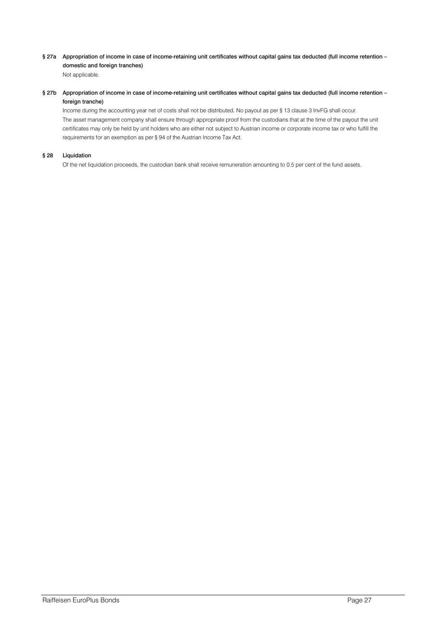§ 27a Appropriation of income in case of income-retaining unit certificates without capital gains tax deducted (full income retention – domestic and foreign tranches) Not applicable.

§ 27b Appropriation of income in case of income-retaining unit certificates without capital gains tax deducted (full income retention – foreign tranche)

Income during the accounting year net of costs shall not be distributed. No payout as per § 13 clause 3 InvFG shall occur. The asset management company shall ensure through appropriate proof from the custodians that at the time of the payout the unit certificates may only be held by unit holders who are either not subject to Austrian income or corporate income tax or who fulfill the requirements for an exemption as per § 94 of the Austrian Income Tax Act.

#### § 28 Liquidation

Of the net liquidation proceeds, the custodian bank shall receive remuneration amounting to 0.5 per cent of the fund assets.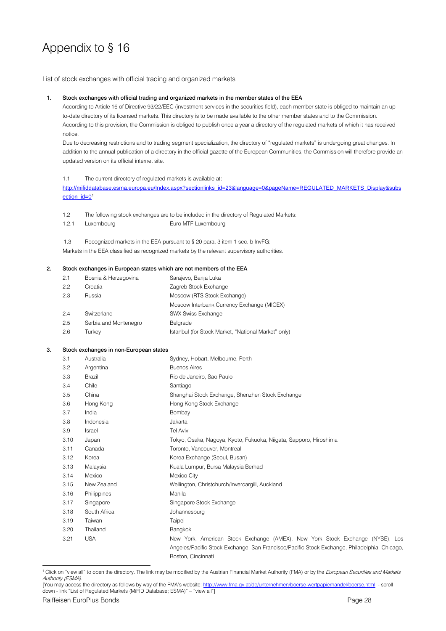# Appendix to § 16

List of stock exchanges with official trading and organized markets

#### 1. Stock exchanges with official trading and organized markets in the member states of the EEA

According to Article 16 of Directive 93/22/EEC (investment services in the securities field), each member state is obliged to maintain an upto-date directory of its licensed markets. This directory is to be made available to the other member states and to the Commission. According to this provision, the Commission is obliged to publish once a year a directory of the regulated markets of which it has received notice.

Due to decreasing restrictions and to trading segment specialization, the directory of "regulated markets" is undergoing great changes. In addition to the annual publication of a directory in the official gazette of the European Communities, the Commission will therefore provide an updated version on its official internet site.

#### 1.1 The current directory of regulated markets is available at:

[http://mifiddatabase.esma.europa.eu/Index.aspx?sectionlinks\\_id=23&language=0&pageName=REGULATED\\_MARKETS\\_Display&subs](http://mifiddatabase.esma.europa.eu/Index.aspx?sectionlinks_id=23&language=0&pageName=REGULATED_MARKETS_Display&subsection_id=0) ection  $id=0<sup>1</sup>$  $id=0<sup>1</sup>$  $id=0<sup>1</sup>$ 

1.2 The following stock exchanges are to be included in the directory of Regulated Markets:

1.2.1 Luxembourg Euro MTF Luxembourg

1.3 Recognized markets in the EEA pursuant to § 20 para. 3 item 1 sec. b InvFG: Markets in the EEA classified as recognized markets by the relevant supervisory authorities.

#### 2. Stock exchanges in European states which are not members of the EEA

| 2.1 | Bosnia & Herzegovina  | Sarajevo, Banja Luka                                |
|-----|-----------------------|-----------------------------------------------------|
| 2.2 | Croatia               | Zagreb Stock Exchange                               |
| 2.3 | Russia                | Moscow (RTS Stock Exchange)                         |
|     |                       | Moscow Interbank Currency Exchange (MICEX)          |
| 2.4 | Switzerland           | <b>SWX Swiss Exchange</b>                           |
| 2.5 | Serbia and Montenegro | Belarade                                            |
| 2.6 | Turkev                | Istanbul (for Stock Market, "National Market" only) |

#### 3. Stock exchanges in non-European states

| 3.1  | Australia    | Sydney, Hobart, Melbourne, Perth                                                             |
|------|--------------|----------------------------------------------------------------------------------------------|
| 3.2  | Argentina    | <b>Buenos Aires</b>                                                                          |
| 3.3  | Brazil       | Rio de Janeiro, Sao Paulo                                                                    |
| 3.4  | Chile        | Santiago                                                                                     |
| 3.5  | China        | Shanghai Stock Exchange, Shenzhen Stock Exchange                                             |
| 3.6  | Hong Kong    | Hong Kong Stock Exchange                                                                     |
| 3.7  | India        | Bombay                                                                                       |
| 3.8  | Indonesia    | Jakarta                                                                                      |
| 3.9  | Israel       | <b>Tel Aviv</b>                                                                              |
| 3.10 | Japan        | Tokyo, Osaka, Nagoya, Kyoto, Fukuoka, Niigata, Sapporo, Hiroshima                            |
| 3.11 | Canada       | Toronto, Vancouver, Montreal                                                                 |
| 3.12 | Korea        | Korea Exchange (Seoul, Busan)                                                                |
| 3.13 | Malaysia     | Kuala Lumpur, Bursa Malaysia Berhad                                                          |
| 3.14 | Mexico       | Mexico City                                                                                  |
| 3.15 | New Zealand  | Wellington, Christchurch/Invercargill, Auckland                                              |
| 3.16 | Philippines  | Manila                                                                                       |
| 3.17 | Singapore    | Singapore Stock Exchange                                                                     |
| 3.18 | South Africa | Johannesburg                                                                                 |
| 3.19 | Taiwan       | Taipei                                                                                       |
| 3.20 | Thailand     | Bangkok                                                                                      |
| 3.21 | <b>USA</b>   | New York, American Stock Exchange (AMEX), New York Stock Exchange (NYSE), Los                |
|      |              | Angeles/Pacific Stock Exchange, San Francisco/Pacific Stock Exchange, Philadelphia, Chicago, |
|      |              | Boston, Cincinnati                                                                           |

<span id="page-27-0"></span><sup>1</sup> Click on "view all" to open the directory. The link may be modified by the Austrian Financial Market Authority (FMA) or by the *European Securities and Markets* Authority (ESMA).

<sup>[</sup>You may access the directory as follows by way of the FMA's website: <http://www.fma.gv.at/de/unternehmen/boerse-wertpapierhandel/boerse.html> - scroll down - link "List of Regulated Markets (MiFID Database; ESMA)" – "view all"]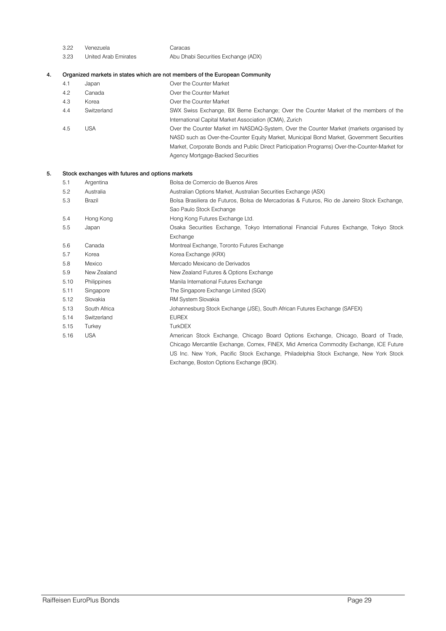| 3.22<br>Venezuela |  |
|-------------------|--|
|-------------------|--|

| 3.23 | United Arab Emirates | Abu Dhabi Securities Exchange (ADX) |
|------|----------------------|-------------------------------------|

Caracas

#### 4. Organized markets in states which are not members of the European Community

| 4.1<br>Japan | Over the Counter Market |
|--------------|-------------------------|
|--------------|-------------------------|

- 4.2 Canada Over the Counter Market
- 4.3 Korea Over the Counter Market
- 4.4 Switzerland SWX Swiss Exchange, BX Berne Exchange; Over the Counter Market of the members of the International Capital Market Association (ICMA), Zurich 4.5 USA Over the Counter Market im NASDAQ-System, Over the Counter Market (markets organised by
	- NASD such as Over-the-Counter Equity Market, Municipal Bond Market, Government Securities Market, Corporate Bonds and Public Direct Participation Programs) Over-the-Counter-Market for Agency Mortgage-Backed Securities

#### 5. Stock exchanges with futures and options markets

| 5.1  | Argentina    | Bolsa de Comercio de Buenos Aires                                                           |
|------|--------------|---------------------------------------------------------------------------------------------|
| 5.2  | Australia    | Australian Options Market, Australian Securities Exchange (ASX)                             |
| 5.3  | Brazil       | Bolsa Brasiliera de Futuros, Bolsa de Mercadorias & Futuros, Rio de Janeiro Stock Exchange, |
|      |              | Sao Paulo Stock Exchange                                                                    |
| 5.4  | Hong Kong    | Hong Kong Futures Exchange Ltd.                                                             |
| 5.5  | Japan        | Osaka Securities Exchange, Tokyo International Financial Futures Exchange, Tokyo Stock      |
|      |              | Exchange                                                                                    |
| 5.6  | Canada       | Montreal Exchange, Toronto Futures Exchange                                                 |
| 5.7  | Korea        | Korea Exchange (KRX)                                                                        |
| 5.8  | Mexico       | Mercado Mexicano de Derivados                                                               |
| 5.9  | New Zealand  | New Zealand Futures & Options Exchange                                                      |
| 5.10 | Philippines  | Manila International Futures Exchange                                                       |
| 5.11 | Singapore    | The Singapore Exchange Limited (SGX)                                                        |
| 5.12 | Slovakia     | RM System Slovakia                                                                          |
| 5.13 | South Africa | Johannesburg Stock Exchange (JSE), South African Futures Exchange (SAFEX)                   |
| 5.14 | Switzerland  | <b>EUREX</b>                                                                                |
| 5.15 | Turkey       | <b>TurkDEX</b>                                                                              |
| 5.16 | <b>USA</b>   | American Stock Exchange, Chicago Board Options Exchange, Chicago, Board of Trade,           |
|      |              | Chicago Mercantile Exchange, Comex, FINEX, Mid America Commodity Exchange, ICE Future       |
|      |              | US Inc. New York, Pacific Stock Exchange, Philadelphia Stock Exchange, New York Stock       |

Exchange, Boston Options Exchange (BOX).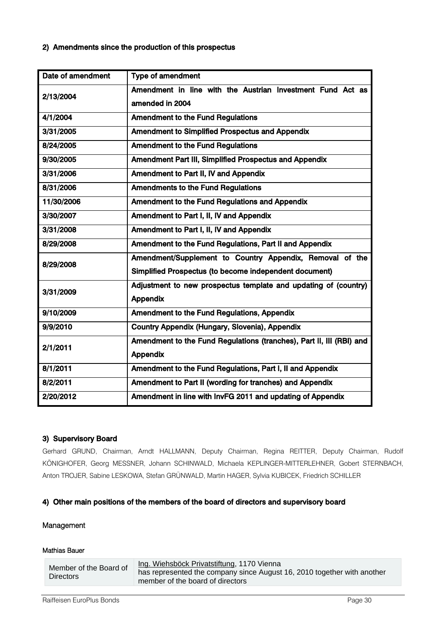# 2) Amendments since the production of this prospectus

| Date of amendment | Type of amendment                                                    |
|-------------------|----------------------------------------------------------------------|
| 2/13/2004         | Amendment in line with the Austrian Investment Fund Act as           |
|                   | amended in 2004                                                      |
| 4/1/2004          | <b>Amendment to the Fund Regulations</b>                             |
| 3/31/2005         | Amendment to Simplified Prospectus and Appendix                      |
| 8/24/2005         | <b>Amendment to the Fund Regulations</b>                             |
| 9/30/2005         | Amendment Part III, Simplified Prospectus and Appendix               |
| 3/31/2006         | Amendment to Part II, IV and Appendix                                |
| 8/31/2006         | <b>Amendments to the Fund Regulations</b>                            |
| 11/30/2006        | Amendment to the Fund Regulations and Appendix                       |
| 3/30/2007         | Amendment to Part I, II, IV and Appendix                             |
| 3/31/2008         | Amendment to Part I, II, IV and Appendix                             |
| 8/29/2008         | Amendment to the Fund Regulations, Part II and Appendix              |
| 8/29/2008         | Amendment/Supplement to Country Appendix, Removal of the             |
|                   | Simplified Prospectus (to become independent document)               |
| 3/31/2009         | Adjustment to new prospectus template and updating of (country)      |
|                   | <b>Appendix</b>                                                      |
| 9/10/2009         | Amendment to the Fund Regulations, Appendix                          |
| 9/9/2010          | Country Appendix (Hungary, Slovenia), Appendix                       |
| 2/1/2011          | Amendment to the Fund Regulations (tranches), Part II, III (RBI) and |
|                   | <b>Appendix</b>                                                      |
| 8/1/2011          | Amendment to the Fund Regulations, Part I, II and Appendix           |
| 8/2/2011          | Amendment to Part II (wording for tranches) and Appendix             |
| 2/20/2012         | Amendment in line with InvFG 2011 and updating of Appendix           |

# 3) Supervisory Board

Gerhard GRUND, Chairman, Arndt HALLMANN, Deputy Chairman, Regina REITTER, Deputy Chairman, Rudolf KÖNIGHOFER, Georg MESSNER, Johann SCHINWALD, Michaela KEPLINGER-MITTERLEHNER, Gobert STERNBACH, Anton TROJER, Sabine LESKOWA, Stefan GRÜNWALD, Martin HAGER, Sylvia KUBICEK, Friedrich SCHILLER

# 4) Other main positions of the members of the board of directors and supervisory board

# Management

# Mathias Bauer

| Member of the Board of | Ing. Wiehsböck Privatstiftung, 1170 Vienna                              |
|------------------------|-------------------------------------------------------------------------|
| <b>Directors</b>       | has represented the company since August 16, 2010 together with another |
|                        | member of the board of directors                                        |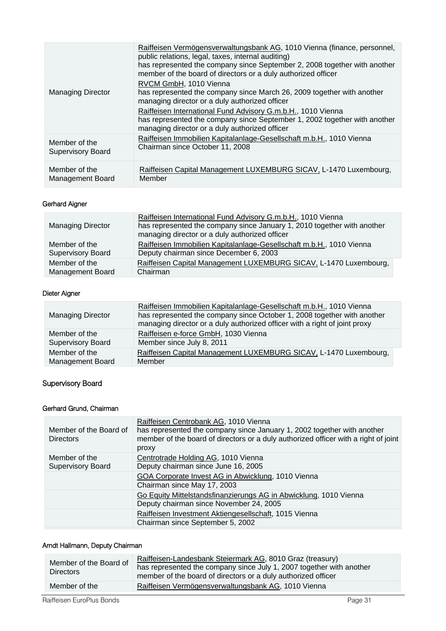|                                           | Raiffeisen Vermögensverwaltungsbank AG, 1010 Vienna (finance, personnel,<br>public relations, legal, taxes, internal auditing)<br>has represented the company since September 2, 2008 together with another<br>member of the board of directors or a duly authorized officer |
|-------------------------------------------|------------------------------------------------------------------------------------------------------------------------------------------------------------------------------------------------------------------------------------------------------------------------------|
| <b>Managing Director</b>                  | RVCM GmbH, 1010 Vienna<br>has represented the company since March 26, 2009 together with another<br>managing director or a duly authorized officer                                                                                                                           |
|                                           | Raiffeisen International Fund Advisory G.m.b.H., 1010 Vienna<br>has represented the company since September 1, 2002 together with another<br>managing director or a duly authorized officer                                                                                  |
| Member of the<br><b>Supervisory Board</b> | Raiffeisen Immobilien Kapitalanlage-Gesellschaft m.b.H., 1010 Vienna<br>Chairman since October 11, 2008                                                                                                                                                                      |
| Member of the<br><b>Management Board</b>  | Raiffeisen Capital Management LUXEMBURG SICAV, L-1470 Luxembourg,<br>Member                                                                                                                                                                                                  |

# Gerhard Aigner

| <b>Managing Director</b> | Raiffeisen International Fund Advisory G.m.b.H., 1010 Vienna<br>has represented the company since January 1, 2010 together with another<br>managing director or a duly authorized officer |
|--------------------------|-------------------------------------------------------------------------------------------------------------------------------------------------------------------------------------------|
| Member of the            | Raiffeisen Immobilien Kapitalanlage-Gesellschaft m.b.H., 1010 Vienna                                                                                                                      |
| <b>Supervisory Board</b> | Deputy chairman since December 6, 2003                                                                                                                                                    |
| Member of the            | Raiffeisen Capital Management LUXEMBURG SICAV, L-1470 Luxembourg,                                                                                                                         |
| <b>Management Board</b>  | Chairman                                                                                                                                                                                  |

# Dieter Aigner

| <b>Managing Director</b> | Raiffeisen Immobilien Kapitalanlage-Gesellschaft m.b.H., 1010 Vienna<br>has represented the company since October 1, 2008 together with another<br>managing director or a duly authorized officer with a right of joint proxy |
|--------------------------|-------------------------------------------------------------------------------------------------------------------------------------------------------------------------------------------------------------------------------|
| Member of the            | Raiffeisen e-force GmbH, 1030 Vienna                                                                                                                                                                                          |
| <b>Supervisory Board</b> | Member since July 8, 2011                                                                                                                                                                                                     |
| Member of the            | Raiffeisen Capital Management LUXEMBURG SICAV, L-1470 Luxembourg,                                                                                                                                                             |
| <b>Management Board</b>  | Member                                                                                                                                                                                                                        |

# Supervisory Board

# Gerhard Grund, Chairman

| Member of the Board of<br><b>Directors</b> | Raiffeisen Centrobank AG, 1010 Vienna<br>has represented the company since January 1, 2002 together with another<br>member of the board of directors or a duly authorized officer with a right of joint<br>proxy |
|--------------------------------------------|------------------------------------------------------------------------------------------------------------------------------------------------------------------------------------------------------------------|
| Member of the                              | Centrotrade Holding AG, 1010 Vienna                                                                                                                                                                              |
| <b>Supervisory Board</b>                   | Deputy chairman since June 16, 2005                                                                                                                                                                              |
|                                            | GOA Corporate Invest AG in Abwicklung, 1010 Vienna<br>Chairman since May 17, 2003                                                                                                                                |
|                                            | Go Equity Mittelstandsfinanzierungs AG in Abwicklung, 1010 Vienna<br>Deputy chairman since November 24, 2005                                                                                                     |
|                                            | Raiffeisen Investment Aktiengesellschaft, 1015 Vienna<br>Chairman since September 5, 2002                                                                                                                        |

# Arndt Hallmann, Deputy Chairman

| Member of the Board of<br><b>Directors</b> | Raiffeisen-Landesbank Steiermark AG, 8010 Graz (treasury)<br>has represented the company since July 1, 2007 together with another<br>member of the board of directors or a duly authorized officer |
|--------------------------------------------|----------------------------------------------------------------------------------------------------------------------------------------------------------------------------------------------------|
| Member of the                              | Raiffeisen Vermögensverwaltungsbank AG, 1010 Vienna                                                                                                                                                |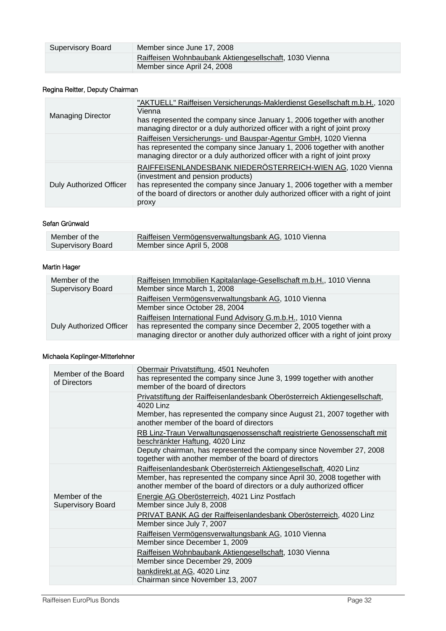| Supervisory Board | Member since June 17, 2008                                                            |
|-------------------|---------------------------------------------------------------------------------------|
|                   | Raiffeisen Wohnbaubank Aktiengesellschaft, 1030 Vienna<br>Member since April 24, 2008 |

# Regina Reitter, Deputy Chairman

| <b>Managing Director</b>       | "AKTUELL" Raiffeisen Versicherungs-Maklerdienst Gesellschaft m.b.H., 1020<br>Vienna<br>has represented the company since January 1, 2006 together with another<br>managing director or a duly authorized officer with a right of joint proxy                               |
|--------------------------------|----------------------------------------------------------------------------------------------------------------------------------------------------------------------------------------------------------------------------------------------------------------------------|
|                                | Raiffeisen Versicherungs- und Bauspar-Agentur GmbH, 1020 Vienna<br>has represented the company since January 1, 2006 together with another<br>managing director or a duly authorized officer with a right of joint proxy                                                   |
| <b>Duly Authorized Officer</b> | RAIFFEISENLANDESBANK NIEDERÖSTERREICH-WIEN AG, 1020 Vienna<br>(investment and pension products)<br>has represented the company since January 1, 2006 together with a member<br>of the board of directors or another duly authorized officer with a right of joint<br>proxy |

### Sefan Grünwald

| Member of the            | Raiffeisen Vermögensverwaltungsbank AG, 1010 Vienna |
|--------------------------|-----------------------------------------------------|
| <b>Supervisory Board</b> | Member since April 5, 2008                          |

# Martin Hager

| Member of the<br><b>Supervisory Board</b> | Raiffeisen Immobilien Kapitalanlage-Gesellschaft m.b.H., 1010 Vienna<br>Member since March 1, 2008                                                                                                                     |
|-------------------------------------------|------------------------------------------------------------------------------------------------------------------------------------------------------------------------------------------------------------------------|
|                                           | Raiffeisen Vermögensverwaltungsbank AG, 1010 Vienna<br>Member since October 28, 2004                                                                                                                                   |
| Duly Authorized Officer                   | Raiffeisen International Fund Advisory G.m.b.H., 1010 Vienna<br>has represented the company since December 2, 2005 together with a<br>managing director or another duly authorized officer with a right of joint proxy |

### Michaela Keplinger-Mitterlehner

| Member of the Board<br>of Directors       | Obermair Privatstiftung, 4501 Neuhofen<br>has represented the company since June 3, 1999 together with another<br>member of the board of directors                                                                                           |
|-------------------------------------------|----------------------------------------------------------------------------------------------------------------------------------------------------------------------------------------------------------------------------------------------|
|                                           | Privatstiftung der Raiffeisenlandesbank Oberösterreich Aktiengesellschaft,<br>4020 Linz<br>Member, has represented the company since August 21, 2007 together with<br>another member of the board of directors                               |
|                                           | RB Linz-Traun Verwaltungsgenossenschaft registrierte Genossenschaft mit<br>beschränkter Haftung, 4020 Linz<br>Deputy chairman, has represented the company since November 27, 2008<br>together with another member of the board of directors |
|                                           | Raiffeisenlandesbank Oberösterreich Aktiengesellschaft, 4020 Linz<br>Member, has represented the company since April 30, 2008 together with<br>another member of the board of directors or a duly authorized officer                         |
| Member of the<br><b>Supervisory Board</b> | Energie AG Oberösterreich, 4021 Linz Postfach<br>Member since July 8, 2008                                                                                                                                                                   |
|                                           | PRIVAT BANK AG der Raiffeisenlandesbank Oberösterreich, 4020 Linz<br>Member since July 7, 2007                                                                                                                                               |
|                                           | Raiffeisen Vermögensverwaltungsbank AG, 1010 Vienna<br>Member since December 1, 2009                                                                                                                                                         |
|                                           | Raiffeisen Wohnbaubank Aktiengesellschaft, 1030 Vienna<br>Member since December 29, 2009                                                                                                                                                     |
|                                           | bankdirekt.at AG, 4020 Linz<br>Chairman since November 13, 2007                                                                                                                                                                              |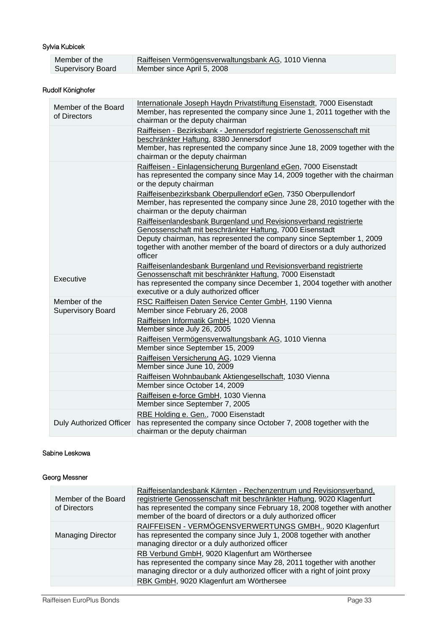# Sylvia Kubicek

| Member of the            | Raiffeisen Vermögensverwaltungsbank AG, 1010 Vienna |
|--------------------------|-----------------------------------------------------|
| <b>Supervisory Board</b> | Member since April 5, 2008                          |

# Rudolf Könighofer

| Member of the Board<br>of Directors       | Internationale Joseph Haydn Privatstiftung Eisenstadt, 7000 Eisenstadt<br>Member, has represented the company since June 1, 2011 together with the<br>chairman or the deputy chairman                                                                                                           |
|-------------------------------------------|-------------------------------------------------------------------------------------------------------------------------------------------------------------------------------------------------------------------------------------------------------------------------------------------------|
|                                           | Raiffeisen - Bezirksbank - Jennersdorf registrierte Genossenschaft mit<br>beschränkter Haftung, 8380 Jennersdorf<br>Member, has represented the company since June 18, 2009 together with the<br>chairman or the deputy chairman                                                                |
|                                           | Raiffeisen - Einlagensicherung Burgenland eGen, 7000 Eisenstadt<br>has represented the company since May 14, 2009 together with the chairman<br>or the deputy chairman                                                                                                                          |
|                                           | Raiffeisenbezirksbank Oberpullendorf eGen, 7350 Oberpullendorf<br>Member, has represented the company since June 28, 2010 together with the<br>chairman or the deputy chairman                                                                                                                  |
|                                           | Raiffeisenlandesbank Burgenland und Revisionsverband registrierte<br>Genossenschaft mit beschränkter Haftung, 7000 Eisenstadt<br>Deputy chairman, has represented the company since September 1, 2009<br>together with another member of the board of directors or a duly authorized<br>officer |
| Executive                                 | Raiffeisenlandesbank Burgenland und Revisionsverband registrierte<br>Genossenschaft mit beschränkter Haftung, 7000 Eisenstadt<br>has represented the company since December 1, 2004 together with another<br>executive or a duly authorized officer                                             |
| Member of the<br><b>Supervisory Board</b> | RSC Raiffeisen Daten Service Center GmbH, 1190 Vienna<br>Member since February 26, 2008                                                                                                                                                                                                         |
|                                           | Raiffeisen Informatik GmbH, 1020 Vienna<br>Member since July 26, 2005                                                                                                                                                                                                                           |
|                                           | Raiffeisen Vermögensverwaltungsbank AG, 1010 Vienna<br>Member since September 15, 2009                                                                                                                                                                                                          |
|                                           | Raiffeisen Versicherung AG, 1029 Vienna<br>Member since June 10, 2009                                                                                                                                                                                                                           |
|                                           | Raiffeisen Wohnbaubank Aktiengesellschaft, 1030 Vienna<br>Member since October 14, 2009                                                                                                                                                                                                         |
|                                           | Raiffeisen e-force GmbH, 1030 Vienna<br>Member since September 7, 2005                                                                                                                                                                                                                          |
| <b>Duly Authorized Officer</b>            | RBE Holding e. Gen., 7000 Eisenstadt<br>has represented the company since October 7, 2008 together with the<br>chairman or the deputy chairman                                                                                                                                                  |

# Sabine Leskowa

# Georg Messner

| Member of the Board<br>of Directors | Raiffeisenlandesbank Kärnten - Rechenzentrum und Revisionsverband,<br>registrierte Genossenschaft mit beschränkter Haftung, 9020 Klagenfurt<br>has represented the company since February 18, 2008 together with another<br>member of the board of directors or a duly authorized officer |
|-------------------------------------|-------------------------------------------------------------------------------------------------------------------------------------------------------------------------------------------------------------------------------------------------------------------------------------------|
| <b>Managing Director</b>            | RAIFFEISEN - VERMÖGENSVERWERTUNGS GMBH., 9020 Klagenfurt<br>has represented the company since July 1, 2008 together with another<br>managing director or a duly authorized officer                                                                                                        |
|                                     | RB Verbund GmbH, 9020 Klagenfurt am Wörthersee<br>has represented the company since May 28, 2011 together with another<br>managing director or a duly authorized officer with a right of joint proxy                                                                                      |
|                                     | RBK GmbH, 9020 Klagenfurt am Wörthersee                                                                                                                                                                                                                                                   |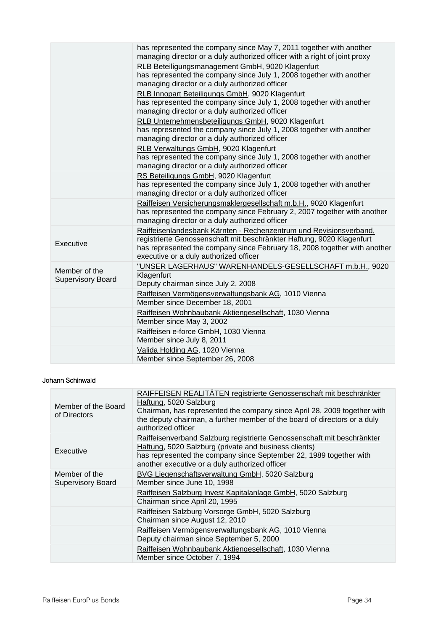|                                           | has represented the company since May 7, 2011 together with another<br>managing director or a duly authorized officer with a right of joint proxy                                                                                                                  |
|-------------------------------------------|--------------------------------------------------------------------------------------------------------------------------------------------------------------------------------------------------------------------------------------------------------------------|
|                                           | RLB Beteiligungsmanagement GmbH, 9020 Klagenfurt<br>has represented the company since July 1, 2008 together with another<br>managing director or a duly authorized officer                                                                                         |
|                                           | RLB Innopart Beteiligungs GmbH, 9020 Klagenfurt<br>has represented the company since July 1, 2008 together with another<br>managing director or a duly authorized officer                                                                                          |
|                                           | RLB Unternehmensbeteiligungs GmbH, 9020 Klagenfurt<br>has represented the company since July 1, 2008 together with another<br>managing director or a duly authorized officer                                                                                       |
|                                           | RLB Verwaltungs GmbH, 9020 Klagenfurt<br>has represented the company since July 1, 2008 together with another<br>managing director or a duly authorized officer                                                                                                    |
|                                           | RS Beteiligungs GmbH, 9020 Klagenfurt<br>has represented the company since July 1, 2008 together with another<br>managing director or a duly authorized officer                                                                                                    |
|                                           | Raiffeisen Versicherungsmaklergesellschaft m.b.H., 9020 Klagenfurt<br>has represented the company since February 2, 2007 together with another<br>managing director or a duly authorized officer                                                                   |
| Executive                                 | Raiffeisenlandesbank Kärnten - Rechenzentrum und Revisionsverband,<br>registrierte Genossenschaft mit beschränkter Haftung, 9020 Klagenfurt<br>has represented the company since February 18, 2008 together with another<br>executive or a duly authorized officer |
| Member of the<br><b>Supervisory Board</b> | "UNSER LAGERHAUS" WARENHANDELS-GESELLSCHAFT m.b.H., 9020<br>Klagenfurt<br>Deputy chairman since July 2, 2008                                                                                                                                                       |
|                                           | Raiffeisen Vermögensverwaltungsbank AG, 1010 Vienna<br>Member since December 18, 2001                                                                                                                                                                              |
|                                           | Raiffeisen Wohnbaubank Aktiengesellschaft, 1030 Vienna<br>Member since May 3, 2002                                                                                                                                                                                 |
|                                           | Raiffeisen e-force GmbH, 1030 Vienna<br>Member since July 8, 2011                                                                                                                                                                                                  |
|                                           | Valida Holding AG, 1020 Vienna<br>Member since September 26, 2008                                                                                                                                                                                                  |

# Johann Schinwald

| Member of the Board<br>of Directors       | RAIFFEISEN REALITÄTEN registrierte Genossenschaft mit beschränkter<br>Haftung, 5020 Salzburg<br>Chairman, has represented the company since April 28, 2009 together with<br>the deputy chairman, a further member of the board of directors or a duly<br>authorized officer |
|-------------------------------------------|-----------------------------------------------------------------------------------------------------------------------------------------------------------------------------------------------------------------------------------------------------------------------------|
| Executive                                 | Raiffeisenverband Salzburg registrierte Genossenschaft mit beschränkter<br>Haftung, 5020 Salzburg (private and business clients)<br>has represented the company since September 22, 1989 together with<br>another executive or a duly authorized officer                    |
| Member of the<br><b>Supervisory Board</b> | BVG Liegenschaftsverwaltung GmbH, 5020 Salzburg<br>Member since June 10, 1998                                                                                                                                                                                               |
|                                           | Raiffeisen Salzburg Invest Kapitalanlage GmbH, 5020 Salzburg<br>Chairman since April 20, 1995                                                                                                                                                                               |
|                                           | Raiffeisen Salzburg Vorsorge GmbH, 5020 Salzburg<br>Chairman since August 12, 2010                                                                                                                                                                                          |
|                                           | Raiffeisen Vermögensverwaltungsbank AG, 1010 Vienna<br>Deputy chairman since September 5, 2000                                                                                                                                                                              |
|                                           | Raiffeisen Wohnbaubank Aktiengesellschaft, 1030 Vienna<br>Member since October 7, 1994                                                                                                                                                                                      |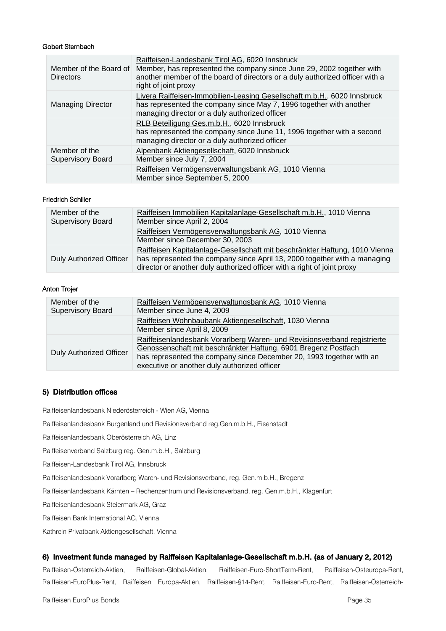#### Gobert Sternbach

| Member of the Board of<br><b>Directors</b> | Raiffeisen-Landesbank Tirol AG, 6020 Innsbruck<br>Member, has represented the company since June 29, 2002 together with<br>another member of the board of directors or a duly authorized officer with a<br>right of joint proxy |
|--------------------------------------------|---------------------------------------------------------------------------------------------------------------------------------------------------------------------------------------------------------------------------------|
| <b>Managing Director</b>                   | Livera Raiffeisen-Immobilien-Leasing Gesellschaft m.b.H., 6020 Innsbruck<br>has represented the company since May 7, 1996 together with another<br>managing director or a duly authorized officer                               |
|                                            | RLB Beteiligung Ges.m.b.H., 6020 Innsbruck<br>has represented the company since June 11, 1996 together with a second<br>managing director or a duly authorized officer                                                          |
| Member of the<br><b>Supervisory Board</b>  | Alpenbank Aktiengesellschaft, 6020 Innsbruck<br>Member since July 7, 2004                                                                                                                                                       |
|                                            | Raiffeisen Vermögensverwaltungsbank AG, 1010 Vienna<br>Member since September 5, 2000                                                                                                                                           |

#### Friedrich Schiller

| Member of the<br><b>Supervisory Board</b> | Raiffeisen Immobilien Kapitalanlage-Gesellschaft m.b.H., 1010 Vienna<br>Member since April 2, 2004                                                                                                                                  |
|-------------------------------------------|-------------------------------------------------------------------------------------------------------------------------------------------------------------------------------------------------------------------------------------|
|                                           | Raiffeisen Vermögensverwaltungsbank AG, 1010 Vienna<br>Member since December 30, 2003                                                                                                                                               |
| <b>Duly Authorized Officer</b>            | Raiffeisen Kapitalanlage-Gesellschaft mit beschränkter Haftung, 1010 Vienna<br>has represented the company since April 13, 2000 together with a managing<br>director or another duly authorized officer with a right of joint proxy |

#### Anton Trojer

| Member of the<br>Supervisory Board | Raiffeisen Vermögensverwaltungsbank AG, 1010 Vienna<br>Member since June 4, 2009                                                                                                                                                                                   |
|------------------------------------|--------------------------------------------------------------------------------------------------------------------------------------------------------------------------------------------------------------------------------------------------------------------|
|                                    | Raiffeisen Wohnbaubank Aktiengesellschaft, 1030 Vienna<br>Member since April 8, 2009                                                                                                                                                                               |
| <b>Duly Authorized Officer</b>     | Raiffeisenlandesbank Vorarlberg Waren- und Revisionsverband registrierte<br>Genossenschaft mit beschränkter Haftung, 6901 Bregenz Postfach<br>has represented the company since December 20, 1993 together with an<br>executive or another duly authorized officer |

# 5) Distribution offices

Raiffeisenlandesbank Niederösterreich - Wien AG, Vienna

Raiffeisenlandesbank Burgenland und Revisionsverband reg.Gen.m.b.H., Eisenstadt

Raiffeisenlandesbank Oberösterreich AG, Linz

Raiffeisenverband Salzburg reg. Gen.m.b.H., Salzburg

Raiffeisen-Landesbank Tirol AG, Innsbruck

Raiffeisenlandesbank Vorarlberg Waren- und Revisionsverband, reg. Gen.m.b.H., Bregenz

Raiffeisenlandesbank Kärnten – Rechenzentrum und Revisionsverband, reg. Gen.m.b.H., Klagenfurt

Raiffeisenlandesbank Steiermark AG, Graz

Raiffeisen Bank International AG, Vienna

Kathrein Privatbank Aktiengesellschaft, Vienna

#### 6) Investment funds managed by Raiffeisen Kapitalanlage-Gesellschaft m.b.H. (as of January 2, 2012)

Raiffeisen-Österreich-Aktien, Raiffeisen-Global-Aktien, Raiffeisen-Euro-ShortTerm-Rent, Raiffeisen-Osteuropa-Rent, Raiffeisen-EuroPlus-Rent, Raiffeisen Europa-Aktien, Raiffeisen-§14-Rent, Raiffeisen-Euro-Rent, Raiffeisen-Österreich-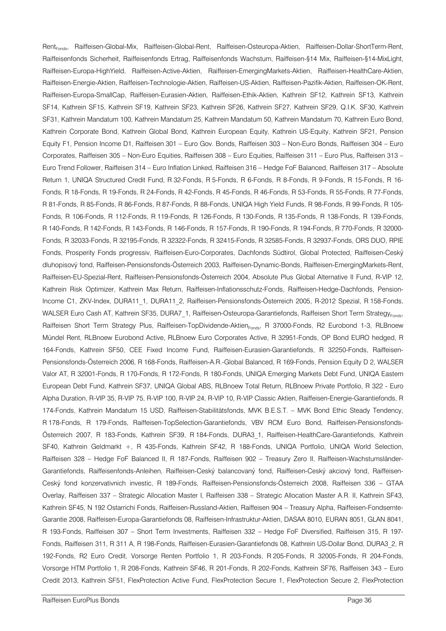Rent<sub>Fonds</sub>, Raiffeisen-Global-Mix, Raiffeisen-Global-Rent, Raiffeisen-Osteuropa-Aktien, Raiffeisen-Dollar-ShortTerm-Rent, Raiffeisenfonds Sicherheit, Raiffeisenfonds Ertrag, Raiffeisenfonds Wachstum, Raiffeisen-§14 Mix, Raiffeisen-§14-MixLight, Raiffeisen-Europa-HighYield, Raiffeisen-Active-Aktien, Raiffeisen-EmergingMarkets-Aktien, Raiffeisen-HealthCare-Aktien, Raiffeisen-Energie-Aktien, Raiffeisen-Technologie-Aktien, Raiffeisen-US-Aktien, Raiffeisen-Pazifik-Aktien, Raiffeisen-OK-Rent, Raiffeisen-Europa-SmallCap, Raiffeisen-Eurasien-Aktien, Raiffeisen-Ethik-Aktien, Kathrein SF12, Kathrein SF13, Kathrein SF14, Kathrein SF15, Kathrein SF19, Kathrein SF23, Kathrein SF26, Kathrein SF27, Kathrein SF29, Q.I.K. SF30, Kathrein SF31, Kathrein Mandatum 100, Kathrein Mandatum 25, Kathrein Mandatum 50, Kathrein Mandatum 70, Kathrein Euro Bond, Kathrein Corporate Bond, Kathrein Global Bond, Kathrein European Equity, Kathrein US-Equity, Kathrein SF21, Pension Equity F1, Pension Income D1, Raiffeisen 301 – Euro Gov. Bonds, Raiffeisen 303 – Non-Euro Bonds, Raiffeisen 304 – Euro Corporates, Raiffeisen 305 – Non-Euro Equities, Raiffeisen 308 – Euro Equities, Raiffeisen 311 – Euro Plus, Raiffeisen 313 – Euro Trend Follower, Raiffeisen 314 – Euro Inflation Linked, Raiffeisen 316 – Hedge FoF Balanced, Raiffeisen 317 – Absolute Return 1, UNIQA Structured Credit Fund, R 32-Fonds, R 5-Fonds, R 6-Fonds, R 8-Fonds, R 9-Fonds, R 15-Fonds, R 16- Fonds, R 18-Fonds, R 19-Fonds, R 24-Fonds, R 42-Fonds, R 45-Fonds, R 46-Fonds, R 53-Fonds, R 55-Fonds, R 77-Fonds, R 81-Fonds, R 85-Fonds, R 86-Fonds, R 87-Fonds, R 88-Fonds, UNIQA High Yield Funds, R 98-Fonds, R 99-Fonds, R 105- Fonds, R 106-Fonds, R 112-Fonds, R 119-Fonds, R 126-Fonds, R 130-Fonds, R 135-Fonds, R 138-Fonds, R 139-Fonds, R 140-Fonds, R 142-Fonds, R 143-Fonds, R 146-Fonds, R 157-Fonds, R 190-Fonds, R 194-Fonds, R 770-Fonds, R 32000- Fonds, R 32033-Fonds, R 32195-Fonds, R 32322-Fonds, R 32415-Fonds, R 32585-Fonds, R 32937-Fonds, ORS DUO, RPIE Fonds, Prosperity Fonds progressiv, Raiffeisen-Euro-Corporates, Dachfonds Südtirol, Global Protected, Raiffeisen-Ceský dluhopisový fond, Raiffeisen-Pensionsfonds-Österreich 2003, Raiffeisen-Dynamic-Bonds, Raiffeisen-EmergingMarkets-Rent, Raiffeisen-EU-Spezial-Rent, Raiffeisen-Pensionsfonds-Österreich 2004, Absolute Plus Global Alternative II Fund, R-VIP 12, Kathrein Risk Optimizer, Kathrein Max Return, Raiffeisen-Inflationsschutz-Fonds, Raiffeisen-Hedge-Dachfonds, Pension-Income C1, ZKV-Index, DURA11\_1, DURA11\_2, Raiffeisen-Pensionsfonds-Österreich 2005, R-2012 Spezial, R 158-Fonds, WALSER Euro Cash AT, Kathrein SF35, DURA7 1, Raiffeisen-Osteuropa-Garantiefonds, Raiffeisen Short Term StrategyFonds, Raiffeisen Short Term Strategy Plus, Raiffeisen-TopDividende-Aktien<sub>Fonds</sub>, R 37000-Fonds, R2 Eurobond 1-3, RLBnoew Mündel Rent, RLBnoew Eurobond Active, RLBnoew Euro Corporates Active, R 32951-Fonds, OP Bond EURO hedged, R 164-Fonds, Kathrein SF50, CEE Fixed Income Fund, Raiffeisen-Eurasien-Garantiefonds, R 32250-Fonds, Raiffeisen-Pensionsfonds-Österreich 2006, R 168-Fonds, Raiffeisen-A.R.-Global Balanced, R 169-Fonds, Pension Equity D 2, WALSER Valor AT, R 32001-Fonds, R 170-Fonds, R 172-Fonds, R 180-Fonds, UNIQA Emerging Markets Debt Fund, UNIQA Eastern European Debt Fund, Kathrein SF37, UNIQA Global ABS, RLBnoew Total Return, RLBnoew Private Portfolio, R 322 - Euro Alpha Duration, R-VIP 35, R-VIP 75, R-VIP 100, R-VIP 24, R-VIP 10, R-VIP Classic Aktien, Raiffeisen-Energie-Garantiefonds, R 174-Fonds, Kathrein Mandatum 15 USD, Raiffeisen-Stabilitätsfonds, MVK B.E.S.T. – MVK Bond Ethic Steady Tendency, R 178-Fonds, R 179-Fonds, Raiffeisen-TopSelection-Garantiefonds, VBV RCM Euro Bond, Raiffeisen-Pensionsfonds-Österreich 2007, R 183-Fonds, Kathrein SF39, R 184-Fonds, DURA3\_1, Raiffeisen-HealthCare-Garantiefonds, Kathrein SF40, Kathrein Geldmarkt +, R 435-Fonds, Kathrein SF42, R 188-Fonds, UNIQA Portfolio, UNIQA World Selection, Raiffeisen 328 – Hedge FoF Balanced II, R 187-Fonds, Raiffeisen 902 – Treasury Zero II, Raiffeisen-Wachstumsländer-Garantiefonds, Raiffeisenfonds-Anleihen, Raiffeisen-Ceský balancovaný fond, Raiffeisen-Ceský akciový fond, Raiffeisen-Ceský fond konzervativnich investic, R 189-Fonds, Raiffeisen-Pensionsfonds-Österreich 2008, Raiffeisen 336 – GTAA Overlay, Raiffeisen 337 – Strategic Allocation Master I, Raiffeisen 338 – Strategic Allocation Master A.R. II, Kathrein SF43, Kathrein SF45, N 192 Ostarrichi Fonds, Raiffeisen-Russland-Aktien, Raiffeisen 904 – Treasury Alpha, Raiffeisen-Fondsernte-Garantie 2008, Raiffeisen-Europa-Garantiefonds 08, Raiffeisen-Infrastruktur-Aktien, DASAA 8010, EURAN 8051, GLAN 8041, R 193-Fonds, Raiffeisen 307 – Short Term Investments, Raiffeisen 332 – Hedge FoF Diversified, Raiffeisen 315, R 197- Fonds, Raiffeisen 311, R 311 A, R 198-Fonds, Raiffeisen-Eurasien-Garantiefonds 08, Kathrein US-Dollar Bond, DURA3\_2, R 192-Fonds, R2 Euro Credit, Vorsorge Renten Portfolio 1, R 203-Fonds, R 205-Fonds, R 32005-Fonds, R 204-Fonds, Vorsorge HTM Portfolio 1, R 208-Fonds, Kathrein SF46, R 201-Fonds, R 202-Fonds, Kathrein SF76, Raiffeisen 343 – Euro Credit 2013, Kathrein SF51, FlexProtection Active Fund, FlexProtection Secure 1, FlexProtection Secure 2, FlexProtection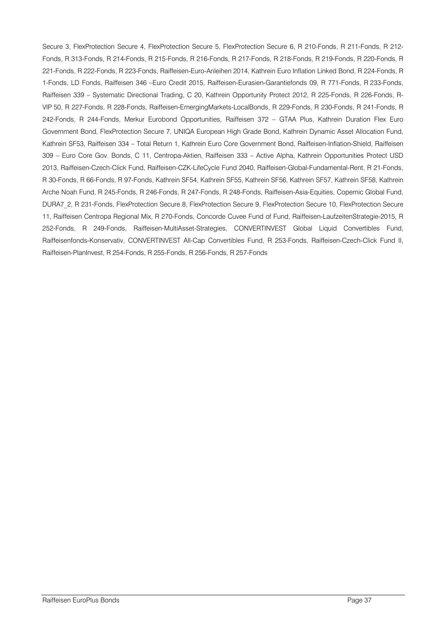Secure 3, FlexProtection Secure 4, FlexProtection Secure 5, FlexProtection Secure 6, R 210-Fonds, R 211-Fonds, R 212- Fonds, R 313-Fonds, R 214-Fonds, R 215-Fonds, R 216-Fonds, R 217-Fonds, R 218-Fonds, R 219-Fonds, R 220-Fonds, R 221-Fonds, R 222-Fonds, R 223-Fonds, Raiffeisen-Euro-Anleihen 2014, Kathrein Euro Inflation Linked Bond, R 224-Fonds, R 1-Fonds, LD Fonds, Raiffeisen 346 –Euro Credit 2015, Raiffeisen-Eurasien-Garantiefonds 09, R 771-Fonds, R 233-Fonds, Raiffeisen 339 – Systematic Directional Trading, C 20, Kathrein Opportunity Protect 2012, R 225-Fonds, R 226-Fonds, R-VIP 50, R 227-Fonds, R 228-Fonds, Raiffeisen-EmergingMarkets-LocalBonds, R 229-Fonds, R 230-Fonds, R 241-Fonds, R 242-Fonds, R 244-Fonds, Merkur Eurobond Opportunities, Raiffeisen 372 – GTAA Plus, Kathrein Duration Flex Euro Government Bond, FlexProtection Secure 7, UNIQA European High Grade Bond, Kathrein Dynamic Asset Allocation Fund, Kathrein SF53, Raiffeisen 334 – Total Return 1, Kathrein Euro Core Government Bond, Raiffeisen-Inflation-Shield, Raiffeisen 309 – Euro Core Gov. Bonds, C 11, Centropa-Aktien, Raiffeisen 333 – Active Alpha, Kathrein Opportunities Protect USD 2013, Raiffeisen-Czech-Click Fund, Raiffeisen-CZK-LifeCycle Fund 2040, Raiffeisen-Global-Fundamental-Rent, R 21-Fonds, R 30-Fonds, R 66-Fonds, R 97-Fonds, Kathrein SF54, Kathrein SF55, Kathrein SF56, Kathrein SF57, Kathrein SF58, Kathrein Arche Noah Fund, R 245-Fonds, R 246-Fonds, R 247-Fonds, R 248-Fonds, Raiffeisen-Asia-Equities, Copernic Global Fund, DURA7\_2, R 231-Fonds, FlexProtection Secure 8, FlexProtection Secure 9, FlexProtection Secure 10, FlexProtection Secure 11, Raiffeisen Centropa Regional Mix, R 270-Fonds, Concorde Cuvee Fund of Fund, Raiffeisen-LaufzeitenStrategie-2015, R 252-Fonds, R 249-Fonds, Raiffeisen-MultiAsset-Strategies, CONVERTINVEST Global Liquid Convertibles Fund, Raiffeisenfonds-Konservativ, CONVERTINVEST All-Cap Convertibles Fund, R 253-Fonds, Raiffeisen-Czech-Click Fund II, Raiffeisen-PlanInvest, R 254-Fonds, R 255-Fonds, R 256-Fonds, R 257-Fonds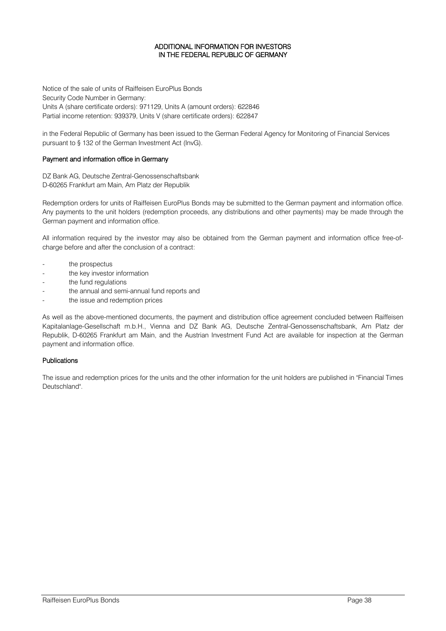#### ADDITIONAL INFORMATION FOR INVESTORS IN THE FEDERAL REPUBLIC OF GERMANY

Notice of the sale of units of Raiffeisen EuroPlus Bonds Security Code Number in Germany: Units A (share certificate orders): 971129, Units A (amount orders): 622846 Partial income retention: 939379, Units V (share certificate orders): 622847

in the Federal Republic of Germany has been issued to the German Federal Agency for Monitoring of Financial Services pursuant to § 132 of the German Investment Act (InvG).

#### Payment and information office in Germany

DZ Bank AG, Deutsche Zentral-Genossenschaftsbank D-60265 Frankfurt am Main, Am Platz der Republik

Redemption orders for units of Raiffeisen EuroPlus Bonds may be submitted to the German payment and information office. Any payments to the unit holders (redemption proceeds, any distributions and other payments) may be made through the German payment and information office.

All information required by the investor may also be obtained from the German payment and information office free-ofcharge before and after the conclusion of a contract:

- the prospectus
- the key investor information
- the fund regulations
- the annual and semi-annual fund reports and
- the issue and redemption prices

As well as the above-mentioned documents, the payment and distribution office agreement concluded between Raiffeisen Kapitalanlage-Gesellschaft m.b.H., Vienna and DZ Bank AG, Deutsche Zentral-Genossenschaftsbank, Am Platz der Republik, D-60265 Frankfurt am Main, and the Austrian Investment Fund Act are available for inspection at the German payment and information office.

#### Publications

The issue and redemption prices for the units and the other information for the unit holders are published in "Financial Times Deutschland".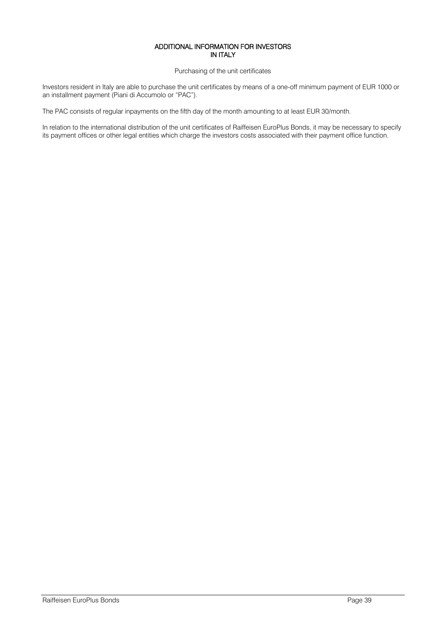#### ADDITIONAL INFORMATION FOR INVESTORS IN ITALY

Purchasing of the unit certificates

Investors resident in Italy are able to purchase the unit certificates by means of a one-off minimum payment of EUR 1000 or an installment payment (Piani di Accumolo or "PAC").

The PAC consists of regular inpayments on the fifth day of the month amounting to at least EUR 30/month.

In relation to the international distribution of the unit certificates of Raiffeisen EuroPlus Bonds, it may be necessary to specify its payment offices or other legal entities which charge the investors costs associated with their payment office function.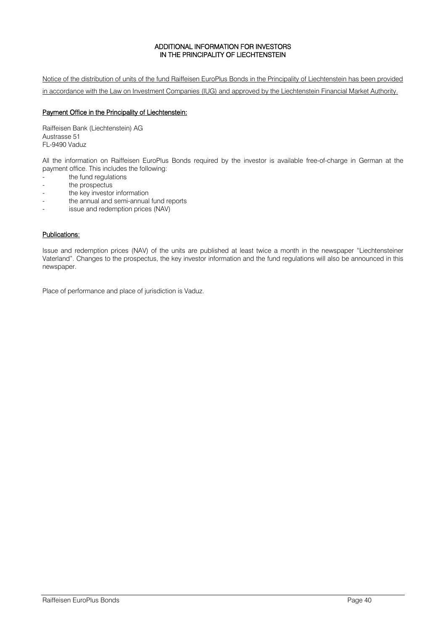### ADDITIONAL INFORMATION FOR INVESTORS IN THE PRINCIPALITY OF LIECHTENSTEIN

Notice of the distribution of units of the fund Raiffeisen EuroPlus Bonds in the Principality of Liechtenstein has been provided in accordance with the Law on Investment Companies (IUG) and approved by the Liechtenstein Financial Market Authority.

#### Payment Office in the Principality of Liechtenstein:

Raiffeisen Bank (Liechtenstein) AG Austrasse 51 FL-9490 Vaduz

All the information on Raiffeisen EuroPlus Bonds required by the investor is available free-of-charge in German at the payment office. This includes the following:

- the fund regulations
- the prospectus
- the key investor information
- the annual and semi-annual fund reports
- issue and redemption prices (NAV)

# Publications:

Issue and redemption prices (NAV) of the units are published at least twice a month in the newspaper "Liechtensteiner Vaterland". Changes to the prospectus, the key investor information and the fund regulations will also be announced in this newspaper.

Place of performance and place of jurisdiction is Vaduz.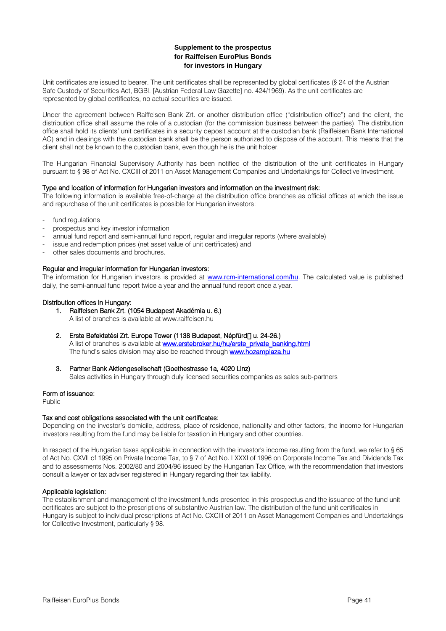#### **Supplement to the prospectus for Raiffeisen EuroPlus Bonds for investors in Hungary**

Unit certificates are issued to bearer. The unit certificates shall be represented by global certificates (§ 24 of the Austrian Safe Custody of Securities Act, BGBl. [Austrian Federal Law Gazette] no. 424/1969). As the unit certificates are represented by global certificates, no actual securities are issued.

Under the agreement between Raiffeisen Bank Zrt. or another distribution office ("distribution office") and the client, the distribution office shall assume the role of a custodian (for the commission business between the parties). The distribution office shall hold its clients' unit certificates in a security deposit account at the custodian bank (Raiffeisen Bank International AG) and in dealings with the custodian bank shall be the person authorized to dispose of the account. This means that the client shall not be known to the custodian bank, even though he is the unit holder.

The Hungarian Financial Supervisory Authority has been notified of the distribution of the unit certificates in Hungary pursuant to § 98 of Act No. CXCIII of 2011 on Asset Management Companies and Undertakings for Collective Investment.

#### Type and location of information for Hungarian investors and information on the investment risk:

The following information is available free-of-charge at the distribution office branches as official offices at which the issue and repurchase of the unit certificates is possible for Hungarian investors:

- fund regulations
- prospectus and key investor information
- annual fund report and semi-annual fund report, regular and irregular reports (where available)
- issue and redemption prices (net asset value of unit certificates) and
- other sales documents and brochures.

#### Regular and irregular information for Hungarian investors:

The information for Hungarian investors is provided at [www.rcm-international.com/hu](http://www.rcm-international.com/hu). The calculated value is published daily, the semi-annual fund report twice a year and the annual fund report once a year.

#### Distribution offices in Hungary:

- 1. Raiffeisen Bank Zrt. (1054 Budapest Akadémia u. 6.)
	- A list of branches is available at www.raiffeisen.hu

#### 2. Erste Befektetési Zrt. Europe Tower (1138 Budapest, Népfürd<sup>[]</sup> u. 24-26.)

A list of branches is available at **www.erstebroker.hu/hu/erste\_private\_banking.html** The fund's sales division may also be reached through **www.hozamplaza.hu** 

#### 3. Partner Bank Aktiengesellschaft (Goethestrasse 1a, 4020 Linz)

Sales activities in Hungary through duly licensed securities companies as sales sub-partners

#### Form of issuance:

Public

#### Tax and cost obligations associated with the unit certificates:

Depending on the investor's domicile, address, place of residence, nationality and other factors, the income for Hungarian investors resulting from the fund may be liable for taxation in Hungary and other countries.

In respect of the Hungarian taxes applicable in connection with the investor's income resulting from the fund, we refer to § 65 of Act No. CXVII of 1995 on Private Income Tax, to § 7 of Act No. LXXXI of 1996 on Corporate Income Tax and Dividends Tax and to assessments Nos. 2002/80 and 2004/96 issued by the Hungarian Tax Office, with the recommendation that investors consult a lawyer or tax adviser registered in Hungary regarding their tax liability.

#### Applicable legislation:

The establishment and management of the investment funds presented in this prospectus and the issuance of the fund unit certificates are subject to the prescriptions of substantive Austrian law. The distribution of the fund unit certificates in Hungary is subject to individual prescriptions of Act No. CXCIII of 2011 on Asset Management Companies and Undertakings for Collective Investment, particularly § 98.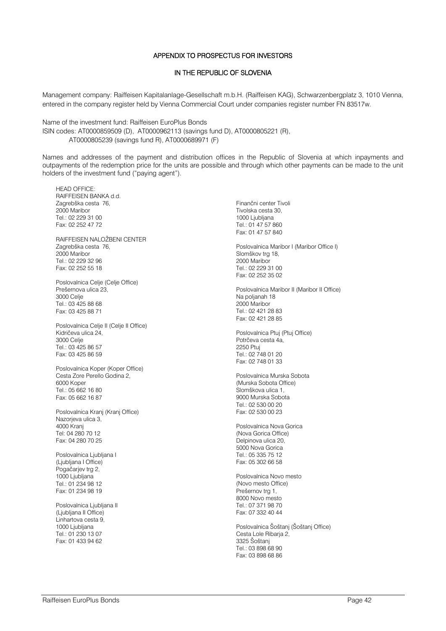#### APPENDIX TO PROSPECTUS FOR INVESTORS

# IN THE REPUBLIC OF SLOVENIA

Management company: Raiffeisen Kapitalanlage-Gesellschaft m.b.H. (Raiffeisen KAG), Schwarzenbergplatz 3, 1010 Vienna, entered in the company register held by Vienna Commercial Court under companies register number FN 83517w.

Name of the investment fund: Raiffeisen EuroPlus Bonds ISIN codes: AT0000859509 (D), AT0000962113 (savings fund D), AT0000805221 (R), AT0000805239 (savings fund R), AT0000689971 (F)

Names and addresses of the payment and distribution offices in the Republic of Slovenia at which inpayments and outpayments of the redemption price for the units are possible and through which other payments can be made to the unit holders of the investment fund ("paying agent").

HEAD OFFICE: RAIFFEISEN BANKA d.d. Zagrebška cesta 76, 2000 Maribor Tel.: 02 229 31 00 Fax: 02 252 47 72

RAIFFEISEN NALOŽBENI CENTER Zagrebška cesta 76, 2000 Maribor Tel.: 02 229 32 96 Fax: 02 252 55 18

Poslovalnica Celje (Celje Office) Prešernova ulica 23, 3000 Celje Tel.: 03 425 88 68 Fax: 03 425 88 71

Poslovalnica Celje II (Celje II Office) Kidričeva ulica 24, 3000 Celje Tel.: 03 425 86 57 Fax: 03 425 86 59

Poslovalnica Koper (Koper Office) Cesta Zore Perello Godina 2, 6000 Koper Tel.: 05 662 16 80 Fax: 05 662 16 87

Poslovalnica Kranj (Kranj Office) Nazorjeva ulica 3, 4000 Kranj Tel: 04 280 70 12 Fax: 04 280 70 25

Poslovalnica Ljubljana I (Ljubljana I Office) Pogačarjev trg 2, 1000 Ljubljana Tel.: 01 234 98 12 Fax: 01 234 98 19

Poslovalnica Ljubljana II (Ljubljana II Office) Linhartova cesta 9, 1000 Ljubljana Tel.: 01 230 13 07 Fax: 01 433 94 62

Finančni center Tivoli Tivolska cesta 30, 1000 Ljubljana Tel.: 01 47 57 860 Fax: 01 47 57 840 Poslovalnica Maribor I (Maribor Office I) Slomškov trg 18, 2000 Maribor Tel.: 02 229 31 00

Fax: 02 252 35 02 Poslovalnica Maribor II (Maribor II Office) Na poljanah 18 2000 Maribor Tel.: 02 421 28 83

Poslovalnica Ptuj (Ptuj Office) Potrčeva cesta 4a, 2250 Ptuj Tel.: 02 748 01 20 Fax: 02 748 01 33

Fax: 02 421 28 85

Poslovalnica Murska Sobota (Murska Sobota Office) Slomškova ulica 1, 9000 Murska Sobota Tel.: 02 530 00 20 Fax: 02 530 00 23

Poslovalnica Nova Gorica (Nova Gorica Office) Delpinova ulica 20 5000 Nova Gorica Tel.: 05 335 75 12 Fax: 05 302 66 58

Poslovalnica Novo mesto (Novo mesto Office) Prešernov trg 1, 8000 Novo mesto Tel.: 07 371 98 70 Fax: 07 332 40 44

Poslovalnica Šoštanj (Šoštanj Office) Cesta Lole Ribarja 2, 3325 Šoštanj Tel.: 03 898 68 90 Fax: 03 898 68 86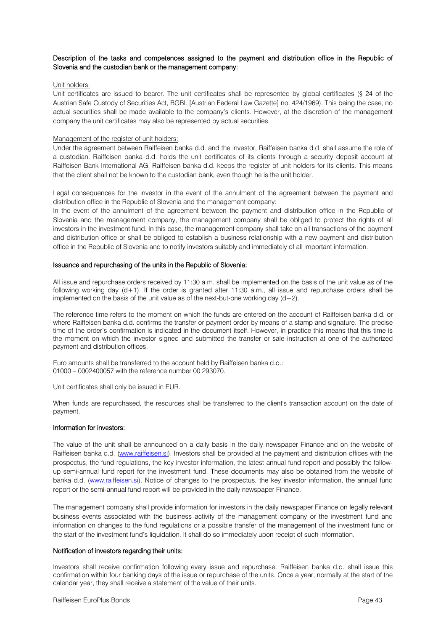#### Description of the tasks and competences assigned to the payment and distribution office in the Republic of Slovenia and the custodian bank or the management company:

#### Unit holders:

Unit certificates are issued to bearer. The unit certificates shall be represented by global certificates (§ 24 of the Austrian Safe Custody of Securities Act, BGBl. [Austrian Federal Law Gazette] no. 424/1969). This being the case, no actual securities shall be made available to the company's clients. However, at the discretion of the management company the unit certificates may also be represented by actual securities.

#### Management of the register of unit holders:

Under the agreement between Raiffeisen banka d.d. and the investor, Raiffeisen banka d.d. shall assume the role of a custodian. Raiffeisen banka d.d. holds the unit certificates of its clients through a security deposit account at Raiffeisen Bank International AG. Raiffeisen banka d.d. keeps the register of unit holders for its clients. This means that the client shall not be known to the custodian bank, even though he is the unit holder.

Legal consequences for the investor in the event of the annulment of the agreement between the payment and distribution office in the Republic of Slovenia and the management company:

In the event of the annulment of the agreement between the payment and distribution office in the Republic of Slovenia and the management company, the management company shall be obliged to protect the rights of all investors in the investment fund. In this case, the management company shall take on all transactions of the payment and distribution office or shall be obliged to establish a business relationship with a new payment and distribution office in the Republic of Slovenia and to notify investors suitably and immediately of all important information.

#### Issuance and repurchasing of the units in the Republic of Slovenia:

All issue and repurchase orders received by 11:30 a.m. shall be implemented on the basis of the unit value as of the following working day (d+1). If the order is granted after 11:30 a.m., all issue and repurchase orders shall be implemented on the basis of the unit value as of the next-but-one working day  $(d+2)$ .

The reference time refers to the moment on which the funds are entered on the account of Raiffeisen banka d.d. or where Raiffeisen banka d.d. confirms the transfer or payment order by means of a stamp and signature. The precise time of the order's confirmation is indicated in the document itself. However, in practice this means that this time is the moment on which the investor signed and submitted the transfer or sale instruction at one of the authorized payment and distribution offices.

Euro amounts shall be transferred to the account held by Raiffeisen banka d.d.: 01000 – 0002400057 with the reference number 00 293070.

Unit certificates shall only be issued in EUR.

When funds are repurchased, the resources shall be transferred to the client's transaction account on the date of payment.

#### Information for investors:

The value of the unit shall be announced on a daily basis in the daily newspaper Finance and on the website of Raiffeisen banka d.d. (www.raiffeisen.si). Investors shall be provided at the payment and distribution offices with the prospectus, the fund regulations, the key investor information, the latest annual fund report and possibly the followup semi-annual fund report for the investment fund. These documents may also be obtained from the website of banka d.d. [\(www.raiffeisen.si\)](http://www.raiffeisen.si/). Notice of changes to the prospectus, the key investor information, the annual fund report or the semi-annual fund report will be provided in the daily newspaper Finance.

The management company shall provide information for investors in the daily newspaper Finance on legally relevant business events associated with the business activity of the management company or the investment fund and information on changes to the fund regulations or a possible transfer of the management of the investment fund or the start of the investment fund's liquidation. It shall do so immediately upon receipt of such information.

#### Notification of investors regarding their units:

Investors shall receive confirmation following every issue and repurchase. Raiffeisen banka d.d. shall issue this confirmation within four banking days of the issue or repurchase of the units. Once a year, normally at the start of the calendar year, they shall receive a statement of the value of their units.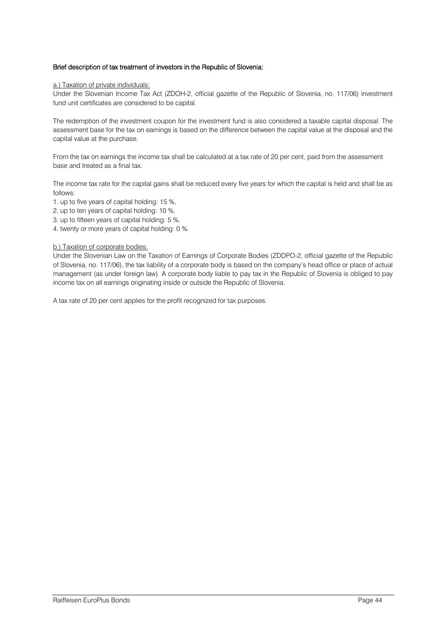#### Brief description of tax treatment of investors in the Republic of Slovenia:

#### a.) Taxation of private individuals:

Under the Slovenian Income Tax Act (ZDOH-2, official gazette of the Republic of Slovenia, no. 117/06) investment fund unit certificates are considered to be capital.

The redemption of the investment coupon for the investment fund is also considered a taxable capital disposal. The assessment base for the tax on earnings is based on the difference between the capital value at the disposal and the capital value at the purchase.

From the tax on earnings the income tax shall be calculated at a tax rate of 20 per cent, paid from the assessment base and treated as a final tax.

The income tax rate for the capital gains shall be reduced every five years for which the capital is held and shall be as follows:

1. up to five years of capital holding: 15 %,

- 2. up to ten years of capital holding: 10 %,
- 3. up to fifteen years of capital holding: 5 %,
- 4. twenty or more years of capital holding: 0 %.

#### b.) Taxation of corporate bodies:

Under the Slovenian Law on the Taxation of Earnings of Corporate Bodies (ZDDPO-2, official gazette of the Republic of Slovenia, no. 117/06), the tax liability of a corporate body is based on the company's head office or place of actual management (as under foreign law). A corporate body liable to pay tax in the Republic of Slovenia is obliged to pay income tax on all earnings originating inside or outside the Republic of Slovenia.

A tax rate of 20 per cent applies for the profit recognized for tax purposes.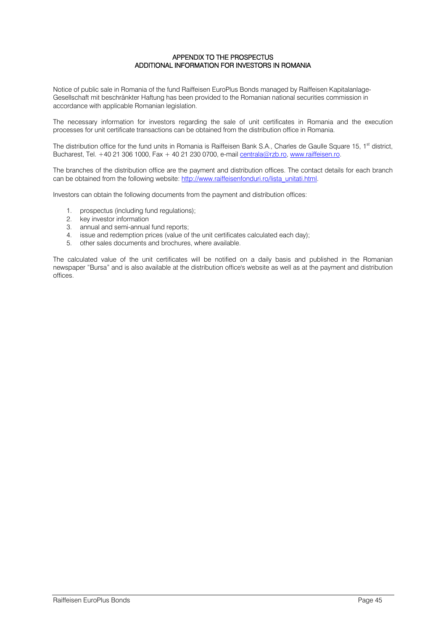#### APPENDIX TO THE PROSPECTUS ADDITIONAL INFORMATION FOR INVESTORS IN ROMANIA

Notice of public sale in Romania of the fund Raiffeisen EuroPlus Bonds managed by Raiffeisen Kapitalanlage-Gesellschaft mit beschränkter Haftung has been provided to the Romanian national securities commission in accordance with applicable Romanian legislation.

The necessary information for investors regarding the sale of unit certificates in Romania and the execution processes for unit certificate transactions can be obtained from the distribution office in Romania.

The distribution office for the fund units in Romania is Raiffeisen Bank S.A., Charles de Gaulle Square 15, 1<sup>st</sup> district, Bucharest, Tel. +40 21 306 1000, Fax + 40 21 230 0700, e-mail [centrala@rzb.ro,](mailto:centrala@rzb.ro) [www.raiffeisen.ro.](http://www.raiffeisen.ro/)

The branches of the distribution office are the payment and distribution offices. The contact details for each branch can be obtained from the following website[: http://www.raiffeisenfonduri.ro/lista\\_unitati.html.](http://www.raiffeisenfonduri.ro/lista_unitati.html)

Investors can obtain the following documents from the payment and distribution offices:

- 1. prospectus (including fund regulations);
- 2. key investor information
- 3. annual and semi-annual fund reports;
- 4. issue and redemption prices (value of the unit certificates calculated each day);
- 5. other sales documents and brochures, where available.

The calculated value of the unit certificates will be notified on a daily basis and published in the Romanian newspaper "Bursa" and is also available at the distribution office's website as well as at the payment and distribution offices.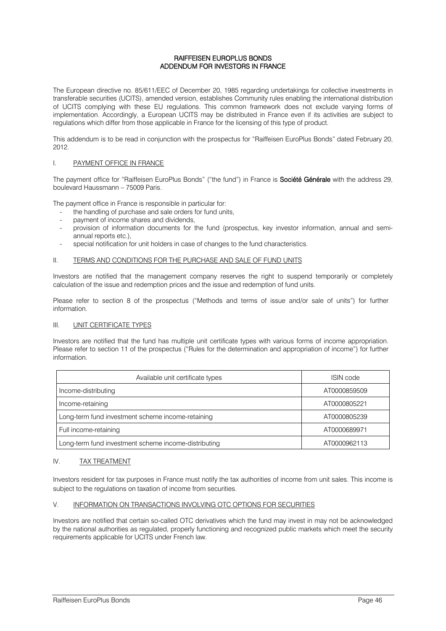#### RAIFFEISEN EUROPLUS BONDS ADDENDUM FOR INVESTORS IN FRANCE

The European directive no. 85/611/EEC of December 20, 1985 regarding undertakings for collective investments in transferable securities (UCITS), amended version, establishes Community rules enabling the international distribution of UCITS complying with these EU regulations. This common framework does not exclude varying forms of implementation. Accordingly, a European UCITS may be distributed in France even if its activities are subject to regulations which differ from those applicable in France for the licensing of this type of product.

This addendum is to be read in conjunction with the prospectus for "Raiffeisen EuroPlus Bonds" dated February 20, 2012.

#### I. PAYMENT OFFICE IN FRANCE

The payment office for "Raiffeisen EuroPlus Bonds" ("the fund") in France is **Société Générale** with the address 29, boulevard Haussmann – 75009 Paris.

The payment office in France is responsible in particular for:

- the handling of purchase and sale orders for fund units,
- payment of income shares and dividends.
- provision of information documents for the fund (prospectus, key investor information, annual and semiannual reports etc.),
- special notification for unit holders in case of changes to the fund characteristics.

#### II. TERMS AND CONDITIONS FOR THE PURCHASE AND SALE OF FUND UNITS

Investors are notified that the management company reserves the right to suspend temporarily or completely calculation of the issue and redemption prices and the issue and redemption of fund units.

Please refer to section 8 of the prospectus ("Methods and terms of issue and/or sale of units") for further information.

#### III. UNIT CERTIFICATE TYPES

Investors are notified that the fund has multiple unit certificate types with various forms of income appropriation. Please refer to section 11 of the prospectus ("Rules for the determination and appropriation of income") for further information.

| Available unit certificate types                     | <b>ISIN</b> code |
|------------------------------------------------------|------------------|
| Income-distributing                                  | AT0000859509     |
| Income-retaining                                     | AT0000805221     |
| Long-term fund investment scheme income-retaining    | AT0000805239     |
| Full income-retaining                                | AT0000689971     |
| Long-term fund investment scheme income-distributing | AT0000962113     |

#### IV. TAX TREATMENT

Investors resident for tax purposes in France must notify the tax authorities of income from unit sales. This income is subject to the regulations on taxation of income from securities.

#### V. INFORMATION ON TRANSACTIONS INVOLVING OTC OPTIONS FOR SECURITIES

Investors are notified that certain so-called OTC derivatives which the fund may invest in may not be acknowledged by the national authorities as regulated, properly functioning and recognized public markets which meet the security requirements applicable for UCITS under French law.